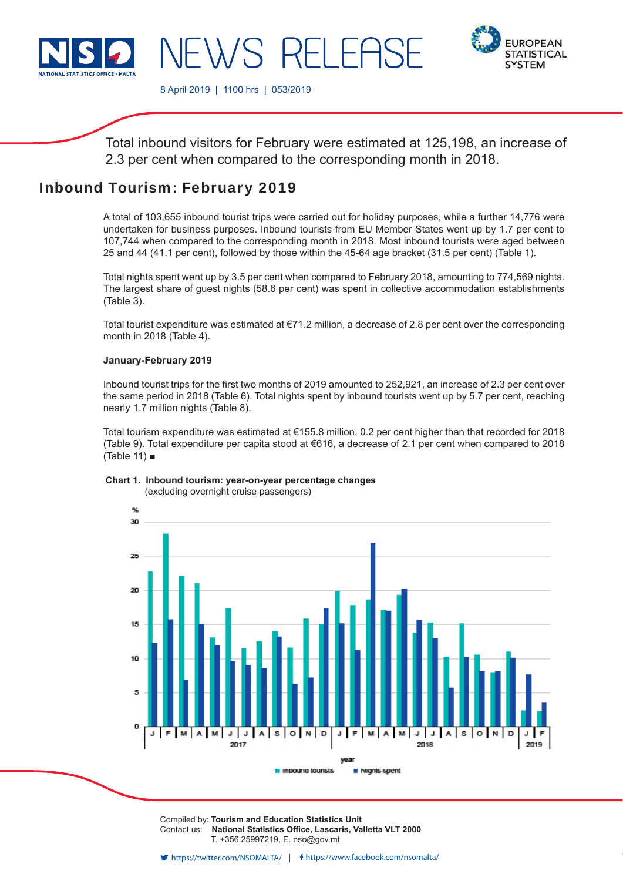

**EUROPEAN STATISTICAL SYSTEM** 

8 April 2019 | 1100 hrs | 053/2019

WS RFI FI

Total inbound visitors for February were estimated at 125,198, an increase of 2.3 per cent when compared to the corresponding month in 2018.

# Inbound Tourism: February 2019

A total of 103,655 inbound tourist trips were carried out for holiday purposes, while a further 14,776 were undertaken for business purposes. Inbound tourists from EU Member States went up by 1.7 per cent to 107,744 when compared to the corresponding month in 2018. Most inbound tourists were aged between 25 and 44 (41.1 per cent), followed by those within the 45-64 age bracket (31.5 per cent) (Table 1).

Total nights spent went up by 3.5 per cent when compared to February 2018, amounting to 774,569 nights. The largest share of guest nights (58.6 per cent) was spent in collective accommodation establishments (Table 3).

Total tourist expenditure was estimated at €71.2 million, a decrease of 2.8 per cent over the corresponding month in 2018 (Table 4).

### **January-February 2019**

Inbound tourist trips for the first two months of 2019 amounted to 252,921, an increase of 2.3 per cent over the same period in 2018 (Table 6). Total nights spent by inbound tourists went up by 5.7 per cent, reaching nearly 1.7 million nights (Table 8).

Total tourism expenditure was estimated at €155.8 million, 0.2 per cent higher than that recorded for 2018 (Table 9). Total expenditure per capita stood at €616, a decrease of 2.1 per cent when compared to 2018 (Table 11) ■

#### **Chart 1. Inbound tourism: year-on-year percentage changes** (excluding overnight cruise passengers)



Compiled by: **Tourism and Education Statistics Unit** Contact us: **National Statistics Office, Lascaris, Valletta VLT 2000** T. +356 25997219, E. nso@gov.mt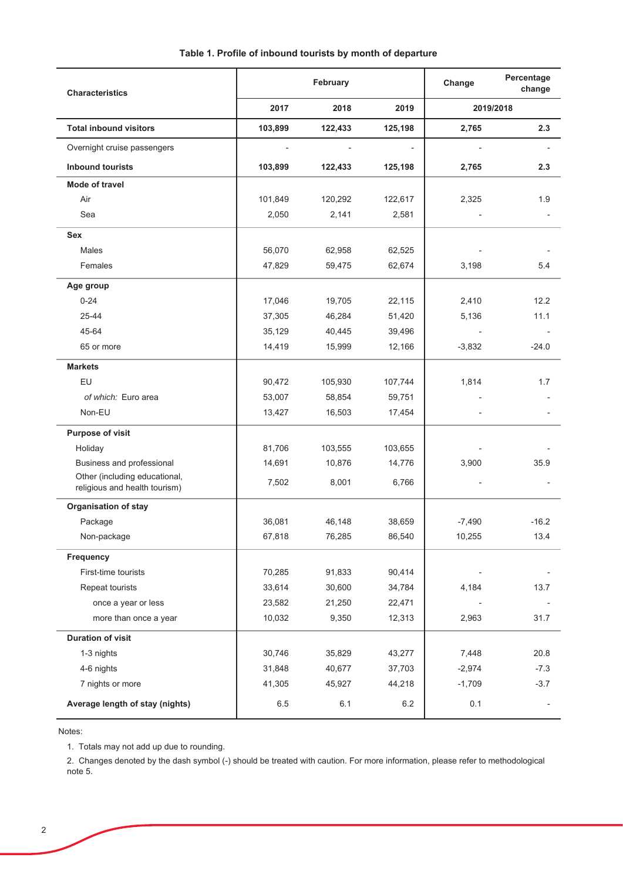| <b>Characteristics</b>                                         | February |         |         | Change   | Percentage<br>change |
|----------------------------------------------------------------|----------|---------|---------|----------|----------------------|
|                                                                | 2017     | 2018    | 2019    |          | 2019/2018            |
| <b>Total inbound visitors</b>                                  | 103,899  | 122,433 | 125,198 | 2,765    | 2.3                  |
| Overnight cruise passengers                                    |          |         |         |          |                      |
| <b>Inbound tourists</b>                                        | 103,899  | 122,433 | 125,198 | 2,765    | 2.3                  |
| Mode of travel                                                 |          |         |         |          |                      |
| Air                                                            | 101,849  | 120,292 | 122,617 | 2,325    | 1.9                  |
| Sea                                                            | 2,050    | 2,141   | 2,581   |          |                      |
| <b>Sex</b>                                                     |          |         |         |          |                      |
| Males                                                          | 56,070   | 62,958  | 62,525  |          |                      |
| Females                                                        | 47,829   | 59,475  | 62,674  | 3,198    | 5.4                  |
| Age group                                                      |          |         |         |          |                      |
| $0 - 24$                                                       | 17,046   | 19,705  | 22,115  | 2,410    | 12.2                 |
| 25-44                                                          | 37,305   | 46,284  | 51,420  | 5,136    | 11.1                 |
| 45-64                                                          | 35,129   | 40,445  | 39,496  |          |                      |
| 65 or more                                                     | 14,419   | 15,999  | 12,166  | $-3,832$ | $-24.0$              |
| <b>Markets</b>                                                 |          |         |         |          |                      |
| EU                                                             | 90,472   | 105,930 | 107,744 | 1,814    | 1.7                  |
| of which: Euro area                                            | 53,007   | 58,854  | 59,751  |          |                      |
| Non-EU                                                         | 13,427   | 16,503  | 17,454  |          |                      |
| Purpose of visit                                               |          |         |         |          |                      |
| Holiday                                                        | 81,706   | 103,555 | 103,655 |          |                      |
| Business and professional                                      | 14,691   | 10,876  | 14,776  | 3,900    | 35.9                 |
| Other (including educational,<br>religious and health tourism) | 7,502    | 8,001   | 6,766   |          |                      |
| <b>Organisation of stay</b>                                    |          |         |         |          |                      |
| Package                                                        | 36,081   | 46,148  | 38,659  | $-7,490$ | $-16.2$              |
| Non-package                                                    | 67,818   | 76,285  | 86,540  | 10,255   | 13.4                 |
| Frequency                                                      |          |         |         |          |                      |
| First-time tourists                                            | 70,285   | 91,833  | 90,414  |          |                      |
| Repeat tourists                                                | 33,614   | 30,600  | 34,784  | 4,184    | 13.7                 |
| once a year or less                                            | 23,582   | 21,250  | 22,471  |          |                      |
| more than once a year                                          | 10,032   | 9,350   | 12,313  | 2,963    | 31.7                 |
| <b>Duration of visit</b>                                       |          |         |         |          |                      |
| 1-3 nights                                                     | 30,746   | 35,829  | 43,277  | 7,448    | 20.8                 |
| 4-6 nights                                                     | 31,848   | 40,677  | 37,703  | $-2,974$ | $-7.3$               |
| 7 nights or more                                               | 41,305   | 45,927  | 44,218  | $-1,709$ | $-3.7$               |
| Average length of stay (nights)                                | 6.5      | 6.1     | 6.2     | 0.1      |                      |

Notes:

1. Totals may not add up due to rounding.

2. Changes denoted by the dash symbol (-) should be treated with caution. For more information, please refer to methodological note 5.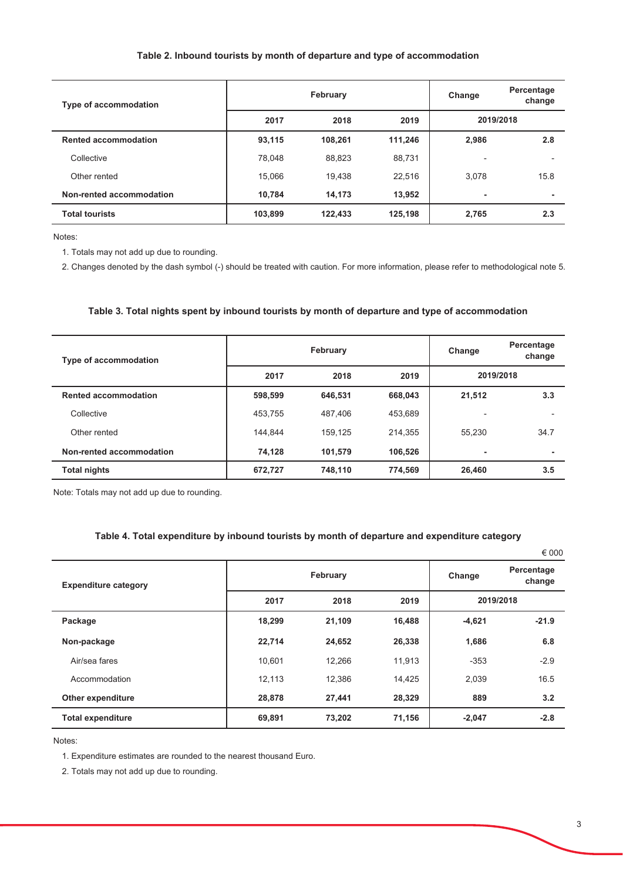#### Table 2. Inbound tourists by month of departure and type of accommodation

| <b>Type of accommodation</b> |         | February | Change  | Percentage<br>change |      |
|------------------------------|---------|----------|---------|----------------------|------|
|                              | 2017    | 2018     | 2019    | 2019/2018            |      |
| <b>Rented accommodation</b>  | 93,115  | 108,261  | 111,246 | 2,986                | 2.8  |
| Collective                   | 78.048  | 88,823   | 88,731  | ٠                    |      |
| Other rented                 | 15,066  | 19.438   | 22,516  | 3,078                | 15.8 |
| Non-rented accommodation     | 10.784  | 14,173   | 13,952  | ۰                    | ۰    |
| <b>Total tourists</b>        | 103,899 | 122,433  | 125,198 | 2,765                | 2.3  |

Notes:

1. Totals may not add up due to rounding.

2. Changes denoted by the dash symbol (-) should be treated with caution. For more information, please refer to methodological note 5.

#### Table 3. Total nights spent by inbound tourists by month of departure and type of accommodation

| <b>Type of accommodation</b> |         | February | Change  | Percentage<br>change |      |
|------------------------------|---------|----------|---------|----------------------|------|
|                              | 2017    | 2018     | 2019    | 2019/2018            |      |
| <b>Rented accommodation</b>  | 598,599 | 646.531  | 668,043 | 21,512               | 3.3  |
| Collective                   | 453.755 | 487.406  | 453,689 |                      |      |
| Other rented                 | 144.844 | 159.125  | 214,355 | 55.230               | 34.7 |
| Non-rented accommodation     | 74,128  | 101,579  | 106,526 | ٠                    | ۰    |
| <b>Total nights</b>          | 672,727 | 748,110  | 774,569 | 26,460               | 3.5  |

Note: Totals may not add up due to rounding.

## Table 4. Total expenditure by inbound tourists by month of departure and expenditure category

|                             |          |        |        |           | $\epsilon$ 000       |
|-----------------------------|----------|--------|--------|-----------|----------------------|
| <b>Expenditure category</b> | February |        |        | Change    | Percentage<br>change |
|                             | 2017     | 2018   | 2019   | 2019/2018 |                      |
| Package                     | 18,299   | 21,109 | 16,488 | $-4,621$  | $-21.9$              |
| Non-package                 | 22,714   | 24,652 | 26,338 | 1,686     | 6.8                  |
| Air/sea fares               | 10,601   | 12,266 | 11,913 | $-353$    | $-2.9$               |
| Accommodation               | 12,113   | 12.386 | 14,425 | 2,039     | 16.5                 |
| Other expenditure           | 28,878   | 27,441 | 28,329 | 889       | 3.2                  |
| <b>Total expenditure</b>    | 69,891   | 73,202 | 71,156 | $-2,047$  | $-2.8$               |

Notes:

1. Expenditure estimates are rounded to the nearest thousand Euro.

2. Totals may not add up due to rounding.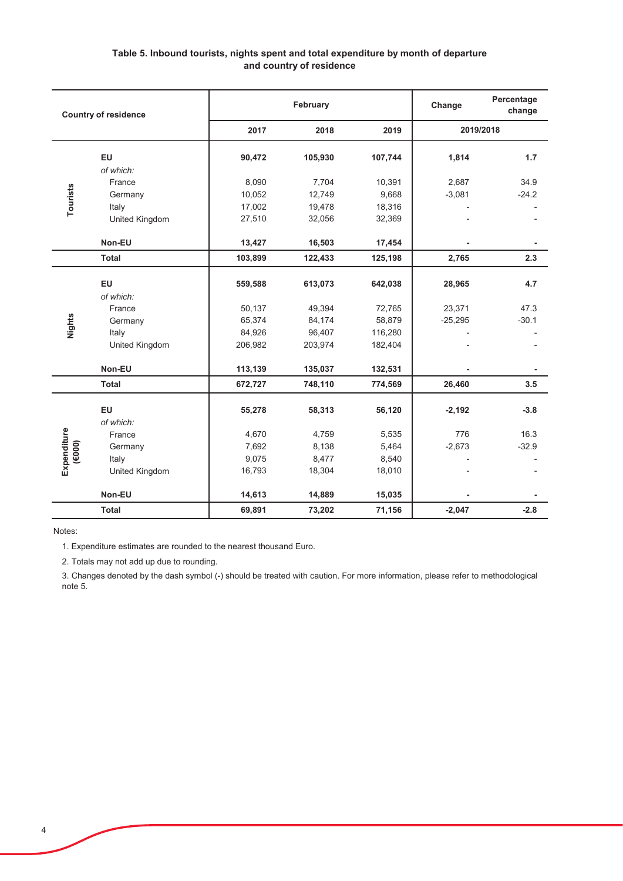## Table 5. Inbound tourists, nights spent and total expenditure by month of departure and country of residence

|             | <b>Country of residence</b>                                                                                                    |         | February |         | Change    | Percentage<br>change |
|-------------|--------------------------------------------------------------------------------------------------------------------------------|---------|----------|---------|-----------|----------------------|
|             |                                                                                                                                | 2017    | 2018     | 2019    |           | 2019/2018            |
|             | EU                                                                                                                             | 90,472  | 105,930  | 107,744 | 1,814     | 1.7                  |
|             | of which:                                                                                                                      |         |          |         |           |                      |
|             | France                                                                                                                         | 8,090   | 7,704    | 10,391  | 2,687     | 34.9                 |
| Tourists    | Germany                                                                                                                        | 10,052  | 12,749   | 9,668   | $-3,081$  | $-24.2$              |
|             | Italy                                                                                                                          | 17,002  | 19,478   | 18,316  |           |                      |
|             | United Kingdom                                                                                                                 | 27,510  | 32,056   | 32,369  |           |                      |
|             | Non-EU                                                                                                                         | 13,427  | 16,503   | 17,454  |           |                      |
|             | <b>Total</b>                                                                                                                   | 103,899 | 122,433  | 125,198 | 2,765     | 2.3                  |
|             | EU                                                                                                                             | 559,588 | 613,073  | 642,038 | 28,965    | 4.7                  |
|             | of which:                                                                                                                      |         |          |         |           |                      |
|             | France                                                                                                                         | 50,137  | 49,394   | 72,765  | 23,371    | 47.3                 |
| Nights      | Germany                                                                                                                        | 65,374  | 84,174   | 58,879  | $-25,295$ | $-30.1$              |
|             | Italy                                                                                                                          | 84,926  | 96,407   | 116,280 |           |                      |
|             | United Kingdom                                                                                                                 | 206,982 | 203,974  | 182,404 |           |                      |
|             | Non-EU                                                                                                                         | 113,139 | 135,037  | 132,531 |           |                      |
|             | <b>Total</b>                                                                                                                   | 672,727 | 748,110  | 774,569 | 26,460    | 3.5                  |
|             | EU                                                                                                                             | 55,278  | 58,313   | 56,120  | $-2,192$  | $-3.8$               |
|             | of which:                                                                                                                      |         |          |         |           |                      |
| Expenditure | France                                                                                                                         | 4,670   | 4,759    | 5,535   | 776       | 16.3                 |
| (6000)      | Germany                                                                                                                        | 7,692   | 8,138    | 5,464   | $-2,673$  | $-32.9$              |
|             | Italy                                                                                                                          | 9,075   | 8,477    | 8,540   |           |                      |
|             | United Kingdom                                                                                                                 | 16,793  | 18,304   | 18,010  |           |                      |
|             | Non-EU                                                                                                                         | 14,613  | 14,889   | 15,035  |           |                      |
|             | <b>Total</b>                                                                                                                   | 69,891  | 73,202   | 71,156  | $-2,047$  | $-2.8$               |
| Notes:      |                                                                                                                                |         |          |         |           |                      |
|             | 1. Expenditure estimates are rounded to the nearest thousand Euro.                                                             |         |          |         |           |                      |
|             | 2. Totals may not add up due to rounding.                                                                                      |         |          |         |           |                      |
|             | 3. Changes denoted by the dash symbol (-) should be treated with caution. For more information, please refer to methodological |         |          |         |           |                      |
| note 5.     |                                                                                                                                |         |          |         |           |                      |

3. Changes denoted by the dash symbol (-) should be treated with caution. For more information, please refer to methodological note 5.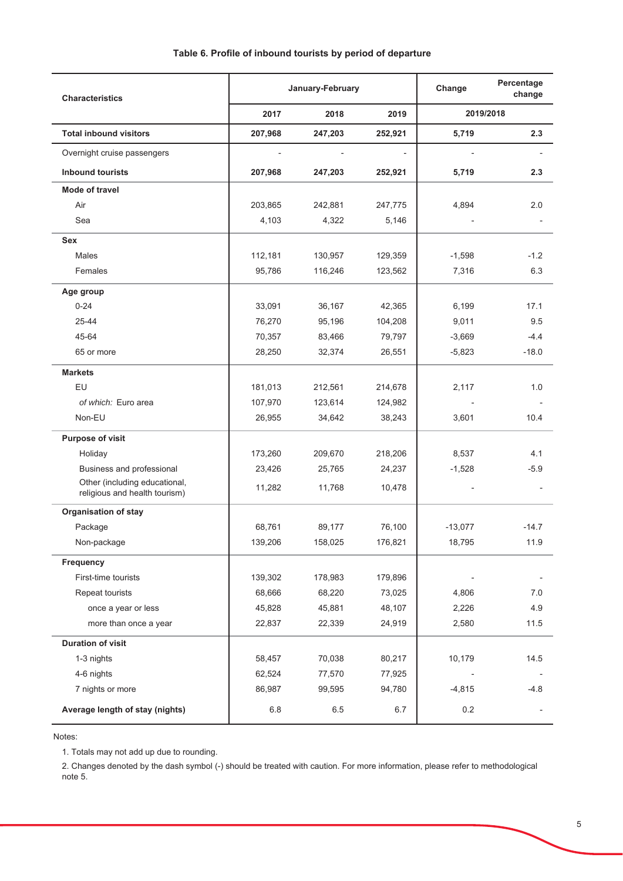| <b>Characteristics</b>                                         |         | January-February | Change                   | Percentage<br>change |                |
|----------------------------------------------------------------|---------|------------------|--------------------------|----------------------|----------------|
|                                                                | 2017    | 2018             | 2019                     | 2019/2018            |                |
| <b>Total inbound visitors</b>                                  | 207,968 | 247,203          | 252,921                  | 5,719                | 2.3            |
| Overnight cruise passengers                                    |         |                  | $\overline{\phantom{a}}$ | $\overline{a}$       |                |
| <b>Inbound tourists</b>                                        | 207,968 | 247,203          | 252,921                  | 5,719                | 2.3            |
| Mode of travel                                                 |         |                  |                          |                      |                |
| Air                                                            | 203,865 | 242,881          | 247,775                  | 4,894                | 2.0            |
| Sea                                                            | 4,103   | 4,322            | 5,146                    |                      |                |
| <b>Sex</b>                                                     |         |                  |                          |                      |                |
| Males                                                          | 112,181 | 130,957          | 129,359                  | $-1,598$             | $-1.2$         |
| Females                                                        | 95,786  | 116,246          | 123,562                  | 7,316                | 6.3            |
| Age group                                                      |         |                  |                          |                      |                |
| $0 - 24$                                                       | 33,091  | 36,167           | 42,365                   | 6,199                | 17.1           |
| 25-44                                                          | 76,270  | 95,196           | 104,208                  | 9,011                | 9.5            |
| 45-64                                                          | 70,357  | 83,466           | 79,797                   | $-3,669$             | $-4.4$         |
| 65 or more                                                     | 28,250  | 32,374           | 26,551                   | $-5,823$             | $-18.0$        |
| <b>Markets</b>                                                 |         |                  |                          |                      |                |
| EU                                                             | 181,013 | 212,561          | 214,678                  | 2,117                | 1.0            |
| of which: Euro area                                            | 107,970 | 123,614          | 124,982                  |                      |                |
| Non-EU                                                         | 26,955  | 34,642           | 38,243                   | 3,601                | 10.4           |
| <b>Purpose of visit</b>                                        |         |                  |                          |                      |                |
| Holiday                                                        | 173,260 | 209,670          | 218,206                  | 8,537                | 4.1            |
| Business and professional                                      | 23,426  | 25,765           | 24,237                   | $-1,528$             | $-5.9$         |
| Other (including educational,<br>religious and health tourism) | 11,282  | 11,768           | 10,478                   |                      |                |
| <b>Organisation of stay</b>                                    |         |                  |                          |                      |                |
| Package                                                        | 68,761  | 89,177           | 76,100                   | $-13,077$            | $-14.7$        |
| Non-package                                                    | 139,206 | 158,025          | 176,821                  | 18,795               | 11.9           |
| Frequency                                                      |         |                  |                          |                      |                |
| First-time tourists                                            | 139,302 | 178,983          | 179,896                  |                      |                |
| Repeat tourists                                                | 68,666  | 68,220           | 73,025                   | 4,806                | 7.0            |
| once a year or less                                            | 45,828  | 45,881           | 48,107                   | 2,226                | 4.9            |
| more than once a year                                          | 22,837  | 22,339           | 24,919                   | 2,580                | 11.5           |
| <b>Duration of visit</b>                                       |         |                  |                          |                      |                |
| 1-3 nights                                                     | 58,457  | 70,038           | 80,217                   | 10,179               | 14.5           |
| 4-6 nights                                                     | 62,524  | 77,570           | 77,925                   |                      |                |
| 7 nights or more                                               | 86,987  | 99,595           | 94,780                   | $-4,815$             | $-4.8$         |
| Average length of stay (nights)                                | $6.8\,$ | $6.5\,$          | 6.7                      | 0.2                  | $\overline{a}$ |

Notes:

1. Totals may not add up due to rounding.

2. Changes denoted by the dash symbol (-) should be treated with caution. For more information, please refer to methodological note 5.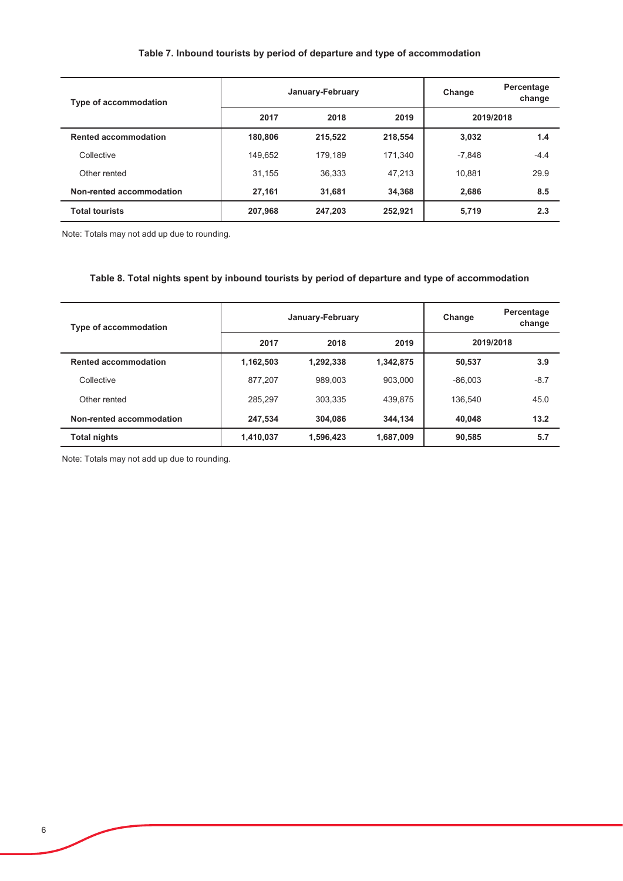### Table 7. Inbound tourists by period of departure and type of accommodation

| <b>Type of accommodation</b> |         | January-February | Change  | Percentage<br>change |        |
|------------------------------|---------|------------------|---------|----------------------|--------|
|                              | 2017    | 2018             | 2019    | 2019/2018            |        |
| <b>Rented accommodation</b>  | 180,806 | 215,522          | 218,554 | 3,032                | 1.4    |
| Collective                   | 149.652 | 179.189          | 171.340 | $-7.848$             | $-4.4$ |
| Other rented                 | 31.155  | 36.333           | 47,213  | 10.881               | 29.9   |
| Non-rented accommodation     | 27,161  | 31.681           | 34,368  | 2.686                | 8.5    |
| <b>Total tourists</b>        | 207,968 | 247,203          | 252,921 | 5,719                | 2.3    |

Note: Totals may not add up due to rounding.

### Table 8. Total nights spent by inbound tourists by period of departure and type of accommodation

| Type of accommodation       |           | January-February | Change    | Percentage<br>change |        |
|-----------------------------|-----------|------------------|-----------|----------------------|--------|
|                             | 2017      | 2018             | 2019      | 2019/2018            |        |
| <b>Rented accommodation</b> | 1,162,503 | 1,292,338        | 1,342,875 | 50.537               | 3.9    |
| Collective                  | 877,207   | 989.003          | 903.000   | $-86.003$            | $-8.7$ |
| Other rented                | 285.297   | 303.335          | 439.875   | 136.540              | 45.0   |
| Non-rented accommodation    | 247,534   | 304.086          | 344.134   | 40.048               | 13.2   |
| <b>Total nights</b>         | 1,410,037 | 1,596,423        | 1,687,009 | 90,585               | 5.7    |

Note: Totals may not add up due to rounding.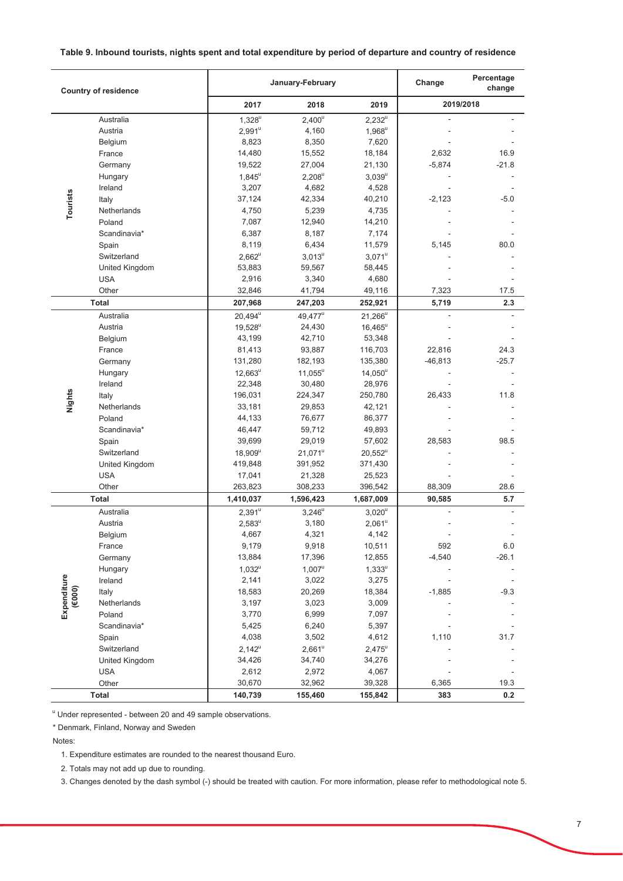#### Table 9. Inbound tourists, nights spent and total expenditure by period of departure and country of residence

| 2017<br>2019<br>2019/2018<br>2018<br>$1,328^{u}$<br>$2,400^u$<br>Australia<br>$2,232^u$<br>L,<br>4,160<br>Austria<br>$2,991^u$<br>$1,968^u$<br>8,823<br>8,350<br>7,620<br>Belgium<br>14,480<br>15,552<br>18,184<br>2,632<br>16.9<br>France<br>$-21.8$<br>19,522<br>27,004<br>21,130<br>$-5,874$<br>Germany<br>$1,845^u$<br>$2,208^u$<br>Hungary<br>$3,039^{\mathrm{u}}$<br>3,207<br>4,682<br>Ireland<br>4,528<br>Tourists<br>42,334<br>40,210<br>37,124<br>$-2,123$<br>$-5.0$<br>Italy<br>4,750<br>5,239<br>4,735<br>Netherlands<br>7,087<br>Poland<br>12,940<br>14,210<br>Scandinavia*<br>6,387<br>8,187<br>7,174<br>6,434<br>80.0<br>8,119<br>11,579<br>5,145<br>Spain<br>Switzerland<br>$2,662^u$<br>$3,013^u$<br>$3,071^u$<br>United Kingdom<br>53,883<br>59,567<br>58,445<br><b>USA</b><br>2,916<br>3,340<br>4,680<br>Other<br>7,323<br>32,846<br>41,794<br>49,116<br>17.5<br><b>Total</b><br>252,921<br>2.3<br>207,968<br>247,203<br>5,719<br>$20,494^u$<br>49,477 <sup>u</sup><br>Australia<br>$21,266^u$<br>24,430<br>Austria<br>$19,528^u$<br>$16,465^{\rm u}$<br>43,199<br>42,710<br>53,348<br>Belgium<br>France<br>81,413<br>93,887<br>116,703<br>22,816<br>24.3<br>$-25.7$<br>131,280<br>182,193<br>135,380<br>$-46,813$<br>Germany<br>$11,055^u$<br>Hungary<br>$12,663^u$<br>$14,050^u$<br>22,348<br>30,480<br>28,976<br>Ireland<br>Nights<br>196,031<br>224,347<br>250,780<br>26,433<br>11.8<br>Italy<br>Netherlands<br>33,181<br>29,853<br>42,121<br>44,133<br>76,677<br>86,377<br>Poland<br>Scandinavia*<br>46,447<br>59,712<br>49,893<br>29,019<br>39,699<br>57,602<br>28,583<br>98.5<br>Spain<br>Switzerland<br>$18,909^u$<br>$21,071^u$<br>$20,552^u$<br>419,848<br>391,952<br>371,430<br>United Kingdom<br><b>USA</b><br>17,041<br>21,328<br>25,523<br>28.6<br>Other<br>263,823<br>308,233<br>396,542<br>88,309<br><b>Total</b><br>1,410,037<br>1,596,423<br>1,687,009<br>90,585<br>5.7<br>Australia<br>$2,391^u$<br>$3,246^u$<br>$3,020^u$<br>3,180<br>$2,061^u$<br>Austria<br>$2,583^u$<br>4,667<br>4,321<br>4,142<br>Belgium<br>9,179<br>9,918<br>10,511<br>592<br>6.0<br>France<br>13,884<br>17,396<br>$-4,540$<br>$-26.1$<br>12,855<br>Germany<br>$1,007^u$<br>$1,333^u$<br>$1,032^u$<br>Hungary<br>Expenditure<br>2,141<br>3,022<br>3,275<br>Ireland<br>$(\epsilon$ 000)<br>$-1,885$<br>18,583<br>20,269<br>18,384<br>$-9.3$<br>Italy<br>3,023<br>Netherlands<br>3,197<br>3,009<br>3,770<br>6,999<br>Poland<br>7,097<br>Scandinavia*<br>5,425<br>6,240<br>5,397<br>4,038<br>3,502<br>4,612<br>1,110<br>31.7<br>Spain<br>$2,661^u$<br>Switzerland<br>$2,142^u$<br>$2,475^{\circ}$<br>34,426<br>34,740<br>34,276<br>United Kingdom<br><b>USA</b><br>2,612<br>2,972<br>4,067<br>30,670<br>32,962<br>39,328<br>6,365<br>19.3<br>Other<br>0.2<br><b>Total</b><br>140.739<br>383<br>155.460<br>155.842 | <b>Country of residence</b> |  | January-February | Change | Percentage<br>change |  |
|----------------------------------------------------------------------------------------------------------------------------------------------------------------------------------------------------------------------------------------------------------------------------------------------------------------------------------------------------------------------------------------------------------------------------------------------------------------------------------------------------------------------------------------------------------------------------------------------------------------------------------------------------------------------------------------------------------------------------------------------------------------------------------------------------------------------------------------------------------------------------------------------------------------------------------------------------------------------------------------------------------------------------------------------------------------------------------------------------------------------------------------------------------------------------------------------------------------------------------------------------------------------------------------------------------------------------------------------------------------------------------------------------------------------------------------------------------------------------------------------------------------------------------------------------------------------------------------------------------------------------------------------------------------------------------------------------------------------------------------------------------------------------------------------------------------------------------------------------------------------------------------------------------------------------------------------------------------------------------------------------------------------------------------------------------------------------------------------------------------------------------------------------------------------------------------------------------------------------------------------------------------------------------------------------------------------------------------------------------------------------------------------------------------------------------------------------------------------------------------------------------------------------------------------------------------------------------------------------------------------------------------------------------------------------------------------------------------------------------------------------------------------------------------------------------------------------|-----------------------------|--|------------------|--------|----------------------|--|
|                                                                                                                                                                                                                                                                                                                                                                                                                                                                                                                                                                                                                                                                                                                                                                                                                                                                                                                                                                                                                                                                                                                                                                                                                                                                                                                                                                                                                                                                                                                                                                                                                                                                                                                                                                                                                                                                                                                                                                                                                                                                                                                                                                                                                                                                                                                                                                                                                                                                                                                                                                                                                                                                                                                                                                                                                            |                             |  |                  |        |                      |  |
|                                                                                                                                                                                                                                                                                                                                                                                                                                                                                                                                                                                                                                                                                                                                                                                                                                                                                                                                                                                                                                                                                                                                                                                                                                                                                                                                                                                                                                                                                                                                                                                                                                                                                                                                                                                                                                                                                                                                                                                                                                                                                                                                                                                                                                                                                                                                                                                                                                                                                                                                                                                                                                                                                                                                                                                                                            |                             |  |                  |        |                      |  |
|                                                                                                                                                                                                                                                                                                                                                                                                                                                                                                                                                                                                                                                                                                                                                                                                                                                                                                                                                                                                                                                                                                                                                                                                                                                                                                                                                                                                                                                                                                                                                                                                                                                                                                                                                                                                                                                                                                                                                                                                                                                                                                                                                                                                                                                                                                                                                                                                                                                                                                                                                                                                                                                                                                                                                                                                                            |                             |  |                  |        |                      |  |
|                                                                                                                                                                                                                                                                                                                                                                                                                                                                                                                                                                                                                                                                                                                                                                                                                                                                                                                                                                                                                                                                                                                                                                                                                                                                                                                                                                                                                                                                                                                                                                                                                                                                                                                                                                                                                                                                                                                                                                                                                                                                                                                                                                                                                                                                                                                                                                                                                                                                                                                                                                                                                                                                                                                                                                                                                            |                             |  |                  |        |                      |  |
|                                                                                                                                                                                                                                                                                                                                                                                                                                                                                                                                                                                                                                                                                                                                                                                                                                                                                                                                                                                                                                                                                                                                                                                                                                                                                                                                                                                                                                                                                                                                                                                                                                                                                                                                                                                                                                                                                                                                                                                                                                                                                                                                                                                                                                                                                                                                                                                                                                                                                                                                                                                                                                                                                                                                                                                                                            |                             |  |                  |        |                      |  |
|                                                                                                                                                                                                                                                                                                                                                                                                                                                                                                                                                                                                                                                                                                                                                                                                                                                                                                                                                                                                                                                                                                                                                                                                                                                                                                                                                                                                                                                                                                                                                                                                                                                                                                                                                                                                                                                                                                                                                                                                                                                                                                                                                                                                                                                                                                                                                                                                                                                                                                                                                                                                                                                                                                                                                                                                                            |                             |  |                  |        |                      |  |
|                                                                                                                                                                                                                                                                                                                                                                                                                                                                                                                                                                                                                                                                                                                                                                                                                                                                                                                                                                                                                                                                                                                                                                                                                                                                                                                                                                                                                                                                                                                                                                                                                                                                                                                                                                                                                                                                                                                                                                                                                                                                                                                                                                                                                                                                                                                                                                                                                                                                                                                                                                                                                                                                                                                                                                                                                            |                             |  |                  |        |                      |  |
|                                                                                                                                                                                                                                                                                                                                                                                                                                                                                                                                                                                                                                                                                                                                                                                                                                                                                                                                                                                                                                                                                                                                                                                                                                                                                                                                                                                                                                                                                                                                                                                                                                                                                                                                                                                                                                                                                                                                                                                                                                                                                                                                                                                                                                                                                                                                                                                                                                                                                                                                                                                                                                                                                                                                                                                                                            |                             |  |                  |        |                      |  |
|                                                                                                                                                                                                                                                                                                                                                                                                                                                                                                                                                                                                                                                                                                                                                                                                                                                                                                                                                                                                                                                                                                                                                                                                                                                                                                                                                                                                                                                                                                                                                                                                                                                                                                                                                                                                                                                                                                                                                                                                                                                                                                                                                                                                                                                                                                                                                                                                                                                                                                                                                                                                                                                                                                                                                                                                                            |                             |  |                  |        |                      |  |
|                                                                                                                                                                                                                                                                                                                                                                                                                                                                                                                                                                                                                                                                                                                                                                                                                                                                                                                                                                                                                                                                                                                                                                                                                                                                                                                                                                                                                                                                                                                                                                                                                                                                                                                                                                                                                                                                                                                                                                                                                                                                                                                                                                                                                                                                                                                                                                                                                                                                                                                                                                                                                                                                                                                                                                                                                            |                             |  |                  |        |                      |  |
|                                                                                                                                                                                                                                                                                                                                                                                                                                                                                                                                                                                                                                                                                                                                                                                                                                                                                                                                                                                                                                                                                                                                                                                                                                                                                                                                                                                                                                                                                                                                                                                                                                                                                                                                                                                                                                                                                                                                                                                                                                                                                                                                                                                                                                                                                                                                                                                                                                                                                                                                                                                                                                                                                                                                                                                                                            |                             |  |                  |        |                      |  |
|                                                                                                                                                                                                                                                                                                                                                                                                                                                                                                                                                                                                                                                                                                                                                                                                                                                                                                                                                                                                                                                                                                                                                                                                                                                                                                                                                                                                                                                                                                                                                                                                                                                                                                                                                                                                                                                                                                                                                                                                                                                                                                                                                                                                                                                                                                                                                                                                                                                                                                                                                                                                                                                                                                                                                                                                                            |                             |  |                  |        |                      |  |
|                                                                                                                                                                                                                                                                                                                                                                                                                                                                                                                                                                                                                                                                                                                                                                                                                                                                                                                                                                                                                                                                                                                                                                                                                                                                                                                                                                                                                                                                                                                                                                                                                                                                                                                                                                                                                                                                                                                                                                                                                                                                                                                                                                                                                                                                                                                                                                                                                                                                                                                                                                                                                                                                                                                                                                                                                            |                             |  |                  |        |                      |  |
|                                                                                                                                                                                                                                                                                                                                                                                                                                                                                                                                                                                                                                                                                                                                                                                                                                                                                                                                                                                                                                                                                                                                                                                                                                                                                                                                                                                                                                                                                                                                                                                                                                                                                                                                                                                                                                                                                                                                                                                                                                                                                                                                                                                                                                                                                                                                                                                                                                                                                                                                                                                                                                                                                                                                                                                                                            |                             |  |                  |        |                      |  |
|                                                                                                                                                                                                                                                                                                                                                                                                                                                                                                                                                                                                                                                                                                                                                                                                                                                                                                                                                                                                                                                                                                                                                                                                                                                                                                                                                                                                                                                                                                                                                                                                                                                                                                                                                                                                                                                                                                                                                                                                                                                                                                                                                                                                                                                                                                                                                                                                                                                                                                                                                                                                                                                                                                                                                                                                                            |                             |  |                  |        |                      |  |
|                                                                                                                                                                                                                                                                                                                                                                                                                                                                                                                                                                                                                                                                                                                                                                                                                                                                                                                                                                                                                                                                                                                                                                                                                                                                                                                                                                                                                                                                                                                                                                                                                                                                                                                                                                                                                                                                                                                                                                                                                                                                                                                                                                                                                                                                                                                                                                                                                                                                                                                                                                                                                                                                                                                                                                                                                            |                             |  |                  |        |                      |  |
|                                                                                                                                                                                                                                                                                                                                                                                                                                                                                                                                                                                                                                                                                                                                                                                                                                                                                                                                                                                                                                                                                                                                                                                                                                                                                                                                                                                                                                                                                                                                                                                                                                                                                                                                                                                                                                                                                                                                                                                                                                                                                                                                                                                                                                                                                                                                                                                                                                                                                                                                                                                                                                                                                                                                                                                                                            |                             |  |                  |        |                      |  |
|                                                                                                                                                                                                                                                                                                                                                                                                                                                                                                                                                                                                                                                                                                                                                                                                                                                                                                                                                                                                                                                                                                                                                                                                                                                                                                                                                                                                                                                                                                                                                                                                                                                                                                                                                                                                                                                                                                                                                                                                                                                                                                                                                                                                                                                                                                                                                                                                                                                                                                                                                                                                                                                                                                                                                                                                                            |                             |  |                  |        |                      |  |
|                                                                                                                                                                                                                                                                                                                                                                                                                                                                                                                                                                                                                                                                                                                                                                                                                                                                                                                                                                                                                                                                                                                                                                                                                                                                                                                                                                                                                                                                                                                                                                                                                                                                                                                                                                                                                                                                                                                                                                                                                                                                                                                                                                                                                                                                                                                                                                                                                                                                                                                                                                                                                                                                                                                                                                                                                            |                             |  |                  |        |                      |  |
|                                                                                                                                                                                                                                                                                                                                                                                                                                                                                                                                                                                                                                                                                                                                                                                                                                                                                                                                                                                                                                                                                                                                                                                                                                                                                                                                                                                                                                                                                                                                                                                                                                                                                                                                                                                                                                                                                                                                                                                                                                                                                                                                                                                                                                                                                                                                                                                                                                                                                                                                                                                                                                                                                                                                                                                                                            |                             |  |                  |        |                      |  |
|                                                                                                                                                                                                                                                                                                                                                                                                                                                                                                                                                                                                                                                                                                                                                                                                                                                                                                                                                                                                                                                                                                                                                                                                                                                                                                                                                                                                                                                                                                                                                                                                                                                                                                                                                                                                                                                                                                                                                                                                                                                                                                                                                                                                                                                                                                                                                                                                                                                                                                                                                                                                                                                                                                                                                                                                                            |                             |  |                  |        |                      |  |
|                                                                                                                                                                                                                                                                                                                                                                                                                                                                                                                                                                                                                                                                                                                                                                                                                                                                                                                                                                                                                                                                                                                                                                                                                                                                                                                                                                                                                                                                                                                                                                                                                                                                                                                                                                                                                                                                                                                                                                                                                                                                                                                                                                                                                                                                                                                                                                                                                                                                                                                                                                                                                                                                                                                                                                                                                            |                             |  |                  |        |                      |  |
|                                                                                                                                                                                                                                                                                                                                                                                                                                                                                                                                                                                                                                                                                                                                                                                                                                                                                                                                                                                                                                                                                                                                                                                                                                                                                                                                                                                                                                                                                                                                                                                                                                                                                                                                                                                                                                                                                                                                                                                                                                                                                                                                                                                                                                                                                                                                                                                                                                                                                                                                                                                                                                                                                                                                                                                                                            |                             |  |                  |        |                      |  |
|                                                                                                                                                                                                                                                                                                                                                                                                                                                                                                                                                                                                                                                                                                                                                                                                                                                                                                                                                                                                                                                                                                                                                                                                                                                                                                                                                                                                                                                                                                                                                                                                                                                                                                                                                                                                                                                                                                                                                                                                                                                                                                                                                                                                                                                                                                                                                                                                                                                                                                                                                                                                                                                                                                                                                                                                                            |                             |  |                  |        |                      |  |
|                                                                                                                                                                                                                                                                                                                                                                                                                                                                                                                                                                                                                                                                                                                                                                                                                                                                                                                                                                                                                                                                                                                                                                                                                                                                                                                                                                                                                                                                                                                                                                                                                                                                                                                                                                                                                                                                                                                                                                                                                                                                                                                                                                                                                                                                                                                                                                                                                                                                                                                                                                                                                                                                                                                                                                                                                            |                             |  |                  |        |                      |  |
|                                                                                                                                                                                                                                                                                                                                                                                                                                                                                                                                                                                                                                                                                                                                                                                                                                                                                                                                                                                                                                                                                                                                                                                                                                                                                                                                                                                                                                                                                                                                                                                                                                                                                                                                                                                                                                                                                                                                                                                                                                                                                                                                                                                                                                                                                                                                                                                                                                                                                                                                                                                                                                                                                                                                                                                                                            |                             |  |                  |        |                      |  |
|                                                                                                                                                                                                                                                                                                                                                                                                                                                                                                                                                                                                                                                                                                                                                                                                                                                                                                                                                                                                                                                                                                                                                                                                                                                                                                                                                                                                                                                                                                                                                                                                                                                                                                                                                                                                                                                                                                                                                                                                                                                                                                                                                                                                                                                                                                                                                                                                                                                                                                                                                                                                                                                                                                                                                                                                                            |                             |  |                  |        |                      |  |
|                                                                                                                                                                                                                                                                                                                                                                                                                                                                                                                                                                                                                                                                                                                                                                                                                                                                                                                                                                                                                                                                                                                                                                                                                                                                                                                                                                                                                                                                                                                                                                                                                                                                                                                                                                                                                                                                                                                                                                                                                                                                                                                                                                                                                                                                                                                                                                                                                                                                                                                                                                                                                                                                                                                                                                                                                            |                             |  |                  |        |                      |  |
|                                                                                                                                                                                                                                                                                                                                                                                                                                                                                                                                                                                                                                                                                                                                                                                                                                                                                                                                                                                                                                                                                                                                                                                                                                                                                                                                                                                                                                                                                                                                                                                                                                                                                                                                                                                                                                                                                                                                                                                                                                                                                                                                                                                                                                                                                                                                                                                                                                                                                                                                                                                                                                                                                                                                                                                                                            |                             |  |                  |        |                      |  |
|                                                                                                                                                                                                                                                                                                                                                                                                                                                                                                                                                                                                                                                                                                                                                                                                                                                                                                                                                                                                                                                                                                                                                                                                                                                                                                                                                                                                                                                                                                                                                                                                                                                                                                                                                                                                                                                                                                                                                                                                                                                                                                                                                                                                                                                                                                                                                                                                                                                                                                                                                                                                                                                                                                                                                                                                                            |                             |  |                  |        |                      |  |
|                                                                                                                                                                                                                                                                                                                                                                                                                                                                                                                                                                                                                                                                                                                                                                                                                                                                                                                                                                                                                                                                                                                                                                                                                                                                                                                                                                                                                                                                                                                                                                                                                                                                                                                                                                                                                                                                                                                                                                                                                                                                                                                                                                                                                                                                                                                                                                                                                                                                                                                                                                                                                                                                                                                                                                                                                            |                             |  |                  |        |                      |  |
|                                                                                                                                                                                                                                                                                                                                                                                                                                                                                                                                                                                                                                                                                                                                                                                                                                                                                                                                                                                                                                                                                                                                                                                                                                                                                                                                                                                                                                                                                                                                                                                                                                                                                                                                                                                                                                                                                                                                                                                                                                                                                                                                                                                                                                                                                                                                                                                                                                                                                                                                                                                                                                                                                                                                                                                                                            |                             |  |                  |        |                      |  |
|                                                                                                                                                                                                                                                                                                                                                                                                                                                                                                                                                                                                                                                                                                                                                                                                                                                                                                                                                                                                                                                                                                                                                                                                                                                                                                                                                                                                                                                                                                                                                                                                                                                                                                                                                                                                                                                                                                                                                                                                                                                                                                                                                                                                                                                                                                                                                                                                                                                                                                                                                                                                                                                                                                                                                                                                                            |                             |  |                  |        |                      |  |
|                                                                                                                                                                                                                                                                                                                                                                                                                                                                                                                                                                                                                                                                                                                                                                                                                                                                                                                                                                                                                                                                                                                                                                                                                                                                                                                                                                                                                                                                                                                                                                                                                                                                                                                                                                                                                                                                                                                                                                                                                                                                                                                                                                                                                                                                                                                                                                                                                                                                                                                                                                                                                                                                                                                                                                                                                            |                             |  |                  |        |                      |  |
|                                                                                                                                                                                                                                                                                                                                                                                                                                                                                                                                                                                                                                                                                                                                                                                                                                                                                                                                                                                                                                                                                                                                                                                                                                                                                                                                                                                                                                                                                                                                                                                                                                                                                                                                                                                                                                                                                                                                                                                                                                                                                                                                                                                                                                                                                                                                                                                                                                                                                                                                                                                                                                                                                                                                                                                                                            |                             |  |                  |        |                      |  |
|                                                                                                                                                                                                                                                                                                                                                                                                                                                                                                                                                                                                                                                                                                                                                                                                                                                                                                                                                                                                                                                                                                                                                                                                                                                                                                                                                                                                                                                                                                                                                                                                                                                                                                                                                                                                                                                                                                                                                                                                                                                                                                                                                                                                                                                                                                                                                                                                                                                                                                                                                                                                                                                                                                                                                                                                                            |                             |  |                  |        |                      |  |
|                                                                                                                                                                                                                                                                                                                                                                                                                                                                                                                                                                                                                                                                                                                                                                                                                                                                                                                                                                                                                                                                                                                                                                                                                                                                                                                                                                                                                                                                                                                                                                                                                                                                                                                                                                                                                                                                                                                                                                                                                                                                                                                                                                                                                                                                                                                                                                                                                                                                                                                                                                                                                                                                                                                                                                                                                            |                             |  |                  |        |                      |  |
|                                                                                                                                                                                                                                                                                                                                                                                                                                                                                                                                                                                                                                                                                                                                                                                                                                                                                                                                                                                                                                                                                                                                                                                                                                                                                                                                                                                                                                                                                                                                                                                                                                                                                                                                                                                                                                                                                                                                                                                                                                                                                                                                                                                                                                                                                                                                                                                                                                                                                                                                                                                                                                                                                                                                                                                                                            |                             |  |                  |        |                      |  |
|                                                                                                                                                                                                                                                                                                                                                                                                                                                                                                                                                                                                                                                                                                                                                                                                                                                                                                                                                                                                                                                                                                                                                                                                                                                                                                                                                                                                                                                                                                                                                                                                                                                                                                                                                                                                                                                                                                                                                                                                                                                                                                                                                                                                                                                                                                                                                                                                                                                                                                                                                                                                                                                                                                                                                                                                                            |                             |  |                  |        |                      |  |
|                                                                                                                                                                                                                                                                                                                                                                                                                                                                                                                                                                                                                                                                                                                                                                                                                                                                                                                                                                                                                                                                                                                                                                                                                                                                                                                                                                                                                                                                                                                                                                                                                                                                                                                                                                                                                                                                                                                                                                                                                                                                                                                                                                                                                                                                                                                                                                                                                                                                                                                                                                                                                                                                                                                                                                                                                            |                             |  |                  |        |                      |  |
|                                                                                                                                                                                                                                                                                                                                                                                                                                                                                                                                                                                                                                                                                                                                                                                                                                                                                                                                                                                                                                                                                                                                                                                                                                                                                                                                                                                                                                                                                                                                                                                                                                                                                                                                                                                                                                                                                                                                                                                                                                                                                                                                                                                                                                                                                                                                                                                                                                                                                                                                                                                                                                                                                                                                                                                                                            |                             |  |                  |        |                      |  |
|                                                                                                                                                                                                                                                                                                                                                                                                                                                                                                                                                                                                                                                                                                                                                                                                                                                                                                                                                                                                                                                                                                                                                                                                                                                                                                                                                                                                                                                                                                                                                                                                                                                                                                                                                                                                                                                                                                                                                                                                                                                                                                                                                                                                                                                                                                                                                                                                                                                                                                                                                                                                                                                                                                                                                                                                                            |                             |  |                  |        |                      |  |
|                                                                                                                                                                                                                                                                                                                                                                                                                                                                                                                                                                                                                                                                                                                                                                                                                                                                                                                                                                                                                                                                                                                                                                                                                                                                                                                                                                                                                                                                                                                                                                                                                                                                                                                                                                                                                                                                                                                                                                                                                                                                                                                                                                                                                                                                                                                                                                                                                                                                                                                                                                                                                                                                                                                                                                                                                            |                             |  |                  |        |                      |  |
|                                                                                                                                                                                                                                                                                                                                                                                                                                                                                                                                                                                                                                                                                                                                                                                                                                                                                                                                                                                                                                                                                                                                                                                                                                                                                                                                                                                                                                                                                                                                                                                                                                                                                                                                                                                                                                                                                                                                                                                                                                                                                                                                                                                                                                                                                                                                                                                                                                                                                                                                                                                                                                                                                                                                                                                                                            |                             |  |                  |        |                      |  |
|                                                                                                                                                                                                                                                                                                                                                                                                                                                                                                                                                                                                                                                                                                                                                                                                                                                                                                                                                                                                                                                                                                                                                                                                                                                                                                                                                                                                                                                                                                                                                                                                                                                                                                                                                                                                                                                                                                                                                                                                                                                                                                                                                                                                                                                                                                                                                                                                                                                                                                                                                                                                                                                                                                                                                                                                                            |                             |  |                  |        |                      |  |
|                                                                                                                                                                                                                                                                                                                                                                                                                                                                                                                                                                                                                                                                                                                                                                                                                                                                                                                                                                                                                                                                                                                                                                                                                                                                                                                                                                                                                                                                                                                                                                                                                                                                                                                                                                                                                                                                                                                                                                                                                                                                                                                                                                                                                                                                                                                                                                                                                                                                                                                                                                                                                                                                                                                                                                                                                            |                             |  |                  |        |                      |  |
|                                                                                                                                                                                                                                                                                                                                                                                                                                                                                                                                                                                                                                                                                                                                                                                                                                                                                                                                                                                                                                                                                                                                                                                                                                                                                                                                                                                                                                                                                                                                                                                                                                                                                                                                                                                                                                                                                                                                                                                                                                                                                                                                                                                                                                                                                                                                                                                                                                                                                                                                                                                                                                                                                                                                                                                                                            |                             |  |                  |        |                      |  |
|                                                                                                                                                                                                                                                                                                                                                                                                                                                                                                                                                                                                                                                                                                                                                                                                                                                                                                                                                                                                                                                                                                                                                                                                                                                                                                                                                                                                                                                                                                                                                                                                                                                                                                                                                                                                                                                                                                                                                                                                                                                                                                                                                                                                                                                                                                                                                                                                                                                                                                                                                                                                                                                                                                                                                                                                                            |                             |  |                  |        |                      |  |
|                                                                                                                                                                                                                                                                                                                                                                                                                                                                                                                                                                                                                                                                                                                                                                                                                                                                                                                                                                                                                                                                                                                                                                                                                                                                                                                                                                                                                                                                                                                                                                                                                                                                                                                                                                                                                                                                                                                                                                                                                                                                                                                                                                                                                                                                                                                                                                                                                                                                                                                                                                                                                                                                                                                                                                                                                            |                             |  |                  |        |                      |  |
|                                                                                                                                                                                                                                                                                                                                                                                                                                                                                                                                                                                                                                                                                                                                                                                                                                                                                                                                                                                                                                                                                                                                                                                                                                                                                                                                                                                                                                                                                                                                                                                                                                                                                                                                                                                                                                                                                                                                                                                                                                                                                                                                                                                                                                                                                                                                                                                                                                                                                                                                                                                                                                                                                                                                                                                                                            |                             |  |                  |        |                      |  |
|                                                                                                                                                                                                                                                                                                                                                                                                                                                                                                                                                                                                                                                                                                                                                                                                                                                                                                                                                                                                                                                                                                                                                                                                                                                                                                                                                                                                                                                                                                                                                                                                                                                                                                                                                                                                                                                                                                                                                                                                                                                                                                                                                                                                                                                                                                                                                                                                                                                                                                                                                                                                                                                                                                                                                                                                                            |                             |  |                  |        |                      |  |

" Under represented - between 20 and 49 sample observations.

\* Denmark, Finland, Norway and Sweden

Notes:

1. Expenditure estimates are rounded to the nearest thousand Euro.

2. Totals may not add up due to rounding.

3. Changes denoted by the dash symbol (-) should be treated with caution. For more information, please refer to methodological note 5.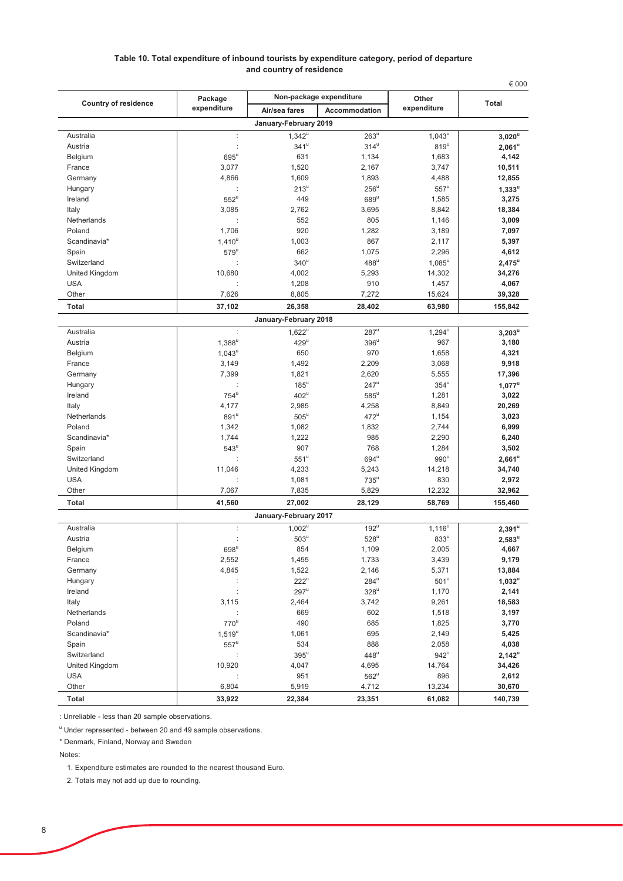#### Table 10. Total expenditure of inbound tourists by expenditure category, period of departure and country of residence

| Non-package expenditure<br>Package<br>Other<br><b>Country of residence</b><br><b>Total</b><br>expenditure<br>expenditure<br>Accommodation<br>Air/sea fares<br>January-February 2019<br>Australia<br>$263^{\mathrm{u}}$<br>$1,043^{\overline{u}}$<br>$3,020^{\overline{u}}$<br>$\ddot{\phantom{a}}$<br>$1,342^u$<br>Austria<br>÷<br>$341^u$<br>$314^u$<br>$819^u$<br>$2,061^\mathrm{u}$<br>4,142<br>$695^{\mathrm{u}}$<br>631<br>1,134<br>1,683<br>Belgium<br>France<br>3,077<br>1,520<br>2,167<br>3,747<br>10,511<br>Germany<br>4,866<br>1,609<br>1,893<br>4,488<br>12,855<br>$213^u$<br>$256^{\circ}$<br>$557^u$<br>$1,333^u$<br>Hungary<br>$552^u$<br>Ireland<br>449<br>$689^u$<br>1,585<br>3,275<br>Italy<br>3,085<br>2,762<br>3,695<br>8,842<br>18,384<br>Netherlands<br>552<br>805<br>1,146<br>3,009<br>1,706<br>920<br>Poland<br>1,282<br>3,189<br>7,097<br>Scandinavia*<br>1,003<br>867<br>2,117<br>5,397<br>$1,410^u$<br>Spain<br>$579^u$<br>662<br>1,075<br>2,296<br>4,612<br>$340^u$<br>$488^u$<br>$1,085^u$<br>Switzerland<br>$2,475^u$<br>United Kingdom<br>10,680<br>4,002<br>5,293<br>14,302<br>34,276<br><b>USA</b><br>1,208<br>910<br>1,457<br>4,067<br>7,272<br>Other<br>7,626<br>8,805<br>15,624<br>39,328<br>Total<br>37,102<br>26,358<br>28,402<br>63,980<br>155,842<br>January-February 2018<br>$\ddot{\phantom{a}}$<br>Australia<br>$1,622^u$<br>$287^u$<br>$1,294^{\mathrm{u}}$<br>$3,203^u$<br>Austria<br>$1,388^u$<br>$429^u$<br>$396^u$<br>967<br>3,180<br>650<br>970<br>1,658<br>4,321<br>Belgium<br>$1,043^{\mathrm{u}}$<br>2,209<br>9,918<br>France<br>3,149<br>1,492<br>3,068<br>Germany<br>7,399<br>1,821<br>2.620<br>5,555<br>17,396<br>$185^{\mathrm{u}}$<br>$247^u$<br>$354^{\mathrm{u}}$<br>$1,077^u$<br>Hungary<br>$754^{\rm u}$<br>Ireland<br>$402^u$<br>$585^{\circ}$<br>1,281<br>3,022<br>4,177<br>2,985<br>4,258<br>8,849<br>20,269<br>Italy<br>Netherlands<br>$891^u$<br>$505^{\mathrm{u}}$<br>$472^u$<br>1,154<br>3,023<br>Poland<br>1,342<br>1,082<br>1,832<br>2,744<br>6,999<br>1,222<br>985<br>Scandinavia*<br>1,744<br>2,290<br>6,240<br>907<br>768<br>Spain<br>$543^{\circ}$<br>1,284<br>3,502<br>$551^{\circ}$<br>$694^u$<br>$990^u$<br>Switzerland<br>$2,661^u$<br>United Kingdom<br>11,046<br>4,233<br>5,243<br>14,218<br>34,740<br>$735^u$<br><b>USA</b><br>1,081<br>830<br>2,972<br>Other<br>7,067<br>7,835<br>5,829<br>12,232<br>32,962<br>Total<br>41,560<br>27,002<br>28,129<br>58,769<br>155,460<br>January-February 2017<br>Australia<br>$\ddot{\cdot}$<br>$1,002^u$<br>$192^u$<br>$1,116^u$<br>$2,391^u$<br>Austria<br>$503^u$<br>$528^u$<br>$833^u$<br>$2,583^u$<br>t<br>Belgium<br>$698^{\circ}$<br>854<br>1,109<br>2,005<br>4,667<br>2,552<br>3,439<br>France<br>1,455<br>1,733<br>9,179<br>4,845<br>1,522<br>2,146<br>5,371<br>13,884<br>Germany<br>$222^u$<br>$284^u$<br>$501^u$<br>$1,032^u$<br>Hungary<br>$\ddot{\cdot}$<br>$297^u$<br>Ireland<br>$328^u$<br>1,170<br>2,141<br>2,464<br>Italy<br>3,115<br>3,742<br>9,261<br>18,583<br>Netherlands<br>669<br>602<br>1,518<br>3,197<br>$770^u$<br>490<br>685<br>1,825<br>3,770<br>Poland<br>695<br>Scandinavia*<br>1,061<br>2,149<br>5,425<br>$1,519^u$<br>888<br>4,038<br>Spain<br>$557^u$<br>534<br>2,058<br>$448^u$<br>$395^{\mathrm{u}}$<br>$942^u$<br>Switzerland<br>$2,142^u$<br>United Kingdom<br>10,920<br>4,047<br>4,695<br>14,764<br>34,426<br><b>USA</b><br>951<br>$562^u$<br>896<br>2,612<br>Other<br>6,804<br>5,919<br>4,712<br>13,234<br>30,670<br>22,384<br>61,082<br>Total<br>33,922<br>23,351<br>140,739 | € 000 |  |  |  |  |  |  |  |
|------------------------------------------------------------------------------------------------------------------------------------------------------------------------------------------------------------------------------------------------------------------------------------------------------------------------------------------------------------------------------------------------------------------------------------------------------------------------------------------------------------------------------------------------------------------------------------------------------------------------------------------------------------------------------------------------------------------------------------------------------------------------------------------------------------------------------------------------------------------------------------------------------------------------------------------------------------------------------------------------------------------------------------------------------------------------------------------------------------------------------------------------------------------------------------------------------------------------------------------------------------------------------------------------------------------------------------------------------------------------------------------------------------------------------------------------------------------------------------------------------------------------------------------------------------------------------------------------------------------------------------------------------------------------------------------------------------------------------------------------------------------------------------------------------------------------------------------------------------------------------------------------------------------------------------------------------------------------------------------------------------------------------------------------------------------------------------------------------------------------------------------------------------------------------------------------------------------------------------------------------------------------------------------------------------------------------------------------------------------------------------------------------------------------------------------------------------------------------------------------------------------------------------------------------------------------------------------------------------------------------------------------------------------------------------------------------------------------------------------------------------------------------------------------------------------------------------------------------------------------------------------------------------------------------------------------------------------------------------------------------------------------------------------------------------------------------------------------------------------------------------------------------------------------------------------------------------------------------------------------------------------------------------------------------------------------------------------------------------------------------------------------------------------------------------------------------------------------------------------------------------------------------------------|-------|--|--|--|--|--|--|--|
|                                                                                                                                                                                                                                                                                                                                                                                                                                                                                                                                                                                                                                                                                                                                                                                                                                                                                                                                                                                                                                                                                                                                                                                                                                                                                                                                                                                                                                                                                                                                                                                                                                                                                                                                                                                                                                                                                                                                                                                                                                                                                                                                                                                                                                                                                                                                                                                                                                                                                                                                                                                                                                                                                                                                                                                                                                                                                                                                                                                                                                                                                                                                                                                                                                                                                                                                                                                                                                                                                                                                          |       |  |  |  |  |  |  |  |
|                                                                                                                                                                                                                                                                                                                                                                                                                                                                                                                                                                                                                                                                                                                                                                                                                                                                                                                                                                                                                                                                                                                                                                                                                                                                                                                                                                                                                                                                                                                                                                                                                                                                                                                                                                                                                                                                                                                                                                                                                                                                                                                                                                                                                                                                                                                                                                                                                                                                                                                                                                                                                                                                                                                                                                                                                                                                                                                                                                                                                                                                                                                                                                                                                                                                                                                                                                                                                                                                                                                                          |       |  |  |  |  |  |  |  |
|                                                                                                                                                                                                                                                                                                                                                                                                                                                                                                                                                                                                                                                                                                                                                                                                                                                                                                                                                                                                                                                                                                                                                                                                                                                                                                                                                                                                                                                                                                                                                                                                                                                                                                                                                                                                                                                                                                                                                                                                                                                                                                                                                                                                                                                                                                                                                                                                                                                                                                                                                                                                                                                                                                                                                                                                                                                                                                                                                                                                                                                                                                                                                                                                                                                                                                                                                                                                                                                                                                                                          |       |  |  |  |  |  |  |  |
|                                                                                                                                                                                                                                                                                                                                                                                                                                                                                                                                                                                                                                                                                                                                                                                                                                                                                                                                                                                                                                                                                                                                                                                                                                                                                                                                                                                                                                                                                                                                                                                                                                                                                                                                                                                                                                                                                                                                                                                                                                                                                                                                                                                                                                                                                                                                                                                                                                                                                                                                                                                                                                                                                                                                                                                                                                                                                                                                                                                                                                                                                                                                                                                                                                                                                                                                                                                                                                                                                                                                          |       |  |  |  |  |  |  |  |
|                                                                                                                                                                                                                                                                                                                                                                                                                                                                                                                                                                                                                                                                                                                                                                                                                                                                                                                                                                                                                                                                                                                                                                                                                                                                                                                                                                                                                                                                                                                                                                                                                                                                                                                                                                                                                                                                                                                                                                                                                                                                                                                                                                                                                                                                                                                                                                                                                                                                                                                                                                                                                                                                                                                                                                                                                                                                                                                                                                                                                                                                                                                                                                                                                                                                                                                                                                                                                                                                                                                                          |       |  |  |  |  |  |  |  |
|                                                                                                                                                                                                                                                                                                                                                                                                                                                                                                                                                                                                                                                                                                                                                                                                                                                                                                                                                                                                                                                                                                                                                                                                                                                                                                                                                                                                                                                                                                                                                                                                                                                                                                                                                                                                                                                                                                                                                                                                                                                                                                                                                                                                                                                                                                                                                                                                                                                                                                                                                                                                                                                                                                                                                                                                                                                                                                                                                                                                                                                                                                                                                                                                                                                                                                                                                                                                                                                                                                                                          |       |  |  |  |  |  |  |  |
|                                                                                                                                                                                                                                                                                                                                                                                                                                                                                                                                                                                                                                                                                                                                                                                                                                                                                                                                                                                                                                                                                                                                                                                                                                                                                                                                                                                                                                                                                                                                                                                                                                                                                                                                                                                                                                                                                                                                                                                                                                                                                                                                                                                                                                                                                                                                                                                                                                                                                                                                                                                                                                                                                                                                                                                                                                                                                                                                                                                                                                                                                                                                                                                                                                                                                                                                                                                                                                                                                                                                          |       |  |  |  |  |  |  |  |
|                                                                                                                                                                                                                                                                                                                                                                                                                                                                                                                                                                                                                                                                                                                                                                                                                                                                                                                                                                                                                                                                                                                                                                                                                                                                                                                                                                                                                                                                                                                                                                                                                                                                                                                                                                                                                                                                                                                                                                                                                                                                                                                                                                                                                                                                                                                                                                                                                                                                                                                                                                                                                                                                                                                                                                                                                                                                                                                                                                                                                                                                                                                                                                                                                                                                                                                                                                                                                                                                                                                                          |       |  |  |  |  |  |  |  |
|                                                                                                                                                                                                                                                                                                                                                                                                                                                                                                                                                                                                                                                                                                                                                                                                                                                                                                                                                                                                                                                                                                                                                                                                                                                                                                                                                                                                                                                                                                                                                                                                                                                                                                                                                                                                                                                                                                                                                                                                                                                                                                                                                                                                                                                                                                                                                                                                                                                                                                                                                                                                                                                                                                                                                                                                                                                                                                                                                                                                                                                                                                                                                                                                                                                                                                                                                                                                                                                                                                                                          |       |  |  |  |  |  |  |  |
|                                                                                                                                                                                                                                                                                                                                                                                                                                                                                                                                                                                                                                                                                                                                                                                                                                                                                                                                                                                                                                                                                                                                                                                                                                                                                                                                                                                                                                                                                                                                                                                                                                                                                                                                                                                                                                                                                                                                                                                                                                                                                                                                                                                                                                                                                                                                                                                                                                                                                                                                                                                                                                                                                                                                                                                                                                                                                                                                                                                                                                                                                                                                                                                                                                                                                                                                                                                                                                                                                                                                          |       |  |  |  |  |  |  |  |
|                                                                                                                                                                                                                                                                                                                                                                                                                                                                                                                                                                                                                                                                                                                                                                                                                                                                                                                                                                                                                                                                                                                                                                                                                                                                                                                                                                                                                                                                                                                                                                                                                                                                                                                                                                                                                                                                                                                                                                                                                                                                                                                                                                                                                                                                                                                                                                                                                                                                                                                                                                                                                                                                                                                                                                                                                                                                                                                                                                                                                                                                                                                                                                                                                                                                                                                                                                                                                                                                                                                                          |       |  |  |  |  |  |  |  |
|                                                                                                                                                                                                                                                                                                                                                                                                                                                                                                                                                                                                                                                                                                                                                                                                                                                                                                                                                                                                                                                                                                                                                                                                                                                                                                                                                                                                                                                                                                                                                                                                                                                                                                                                                                                                                                                                                                                                                                                                                                                                                                                                                                                                                                                                                                                                                                                                                                                                                                                                                                                                                                                                                                                                                                                                                                                                                                                                                                                                                                                                                                                                                                                                                                                                                                                                                                                                                                                                                                                                          |       |  |  |  |  |  |  |  |
|                                                                                                                                                                                                                                                                                                                                                                                                                                                                                                                                                                                                                                                                                                                                                                                                                                                                                                                                                                                                                                                                                                                                                                                                                                                                                                                                                                                                                                                                                                                                                                                                                                                                                                                                                                                                                                                                                                                                                                                                                                                                                                                                                                                                                                                                                                                                                                                                                                                                                                                                                                                                                                                                                                                                                                                                                                                                                                                                                                                                                                                                                                                                                                                                                                                                                                                                                                                                                                                                                                                                          |       |  |  |  |  |  |  |  |
|                                                                                                                                                                                                                                                                                                                                                                                                                                                                                                                                                                                                                                                                                                                                                                                                                                                                                                                                                                                                                                                                                                                                                                                                                                                                                                                                                                                                                                                                                                                                                                                                                                                                                                                                                                                                                                                                                                                                                                                                                                                                                                                                                                                                                                                                                                                                                                                                                                                                                                                                                                                                                                                                                                                                                                                                                                                                                                                                                                                                                                                                                                                                                                                                                                                                                                                                                                                                                                                                                                                                          |       |  |  |  |  |  |  |  |
|                                                                                                                                                                                                                                                                                                                                                                                                                                                                                                                                                                                                                                                                                                                                                                                                                                                                                                                                                                                                                                                                                                                                                                                                                                                                                                                                                                                                                                                                                                                                                                                                                                                                                                                                                                                                                                                                                                                                                                                                                                                                                                                                                                                                                                                                                                                                                                                                                                                                                                                                                                                                                                                                                                                                                                                                                                                                                                                                                                                                                                                                                                                                                                                                                                                                                                                                                                                                                                                                                                                                          |       |  |  |  |  |  |  |  |
|                                                                                                                                                                                                                                                                                                                                                                                                                                                                                                                                                                                                                                                                                                                                                                                                                                                                                                                                                                                                                                                                                                                                                                                                                                                                                                                                                                                                                                                                                                                                                                                                                                                                                                                                                                                                                                                                                                                                                                                                                                                                                                                                                                                                                                                                                                                                                                                                                                                                                                                                                                                                                                                                                                                                                                                                                                                                                                                                                                                                                                                                                                                                                                                                                                                                                                                                                                                                                                                                                                                                          |       |  |  |  |  |  |  |  |
|                                                                                                                                                                                                                                                                                                                                                                                                                                                                                                                                                                                                                                                                                                                                                                                                                                                                                                                                                                                                                                                                                                                                                                                                                                                                                                                                                                                                                                                                                                                                                                                                                                                                                                                                                                                                                                                                                                                                                                                                                                                                                                                                                                                                                                                                                                                                                                                                                                                                                                                                                                                                                                                                                                                                                                                                                                                                                                                                                                                                                                                                                                                                                                                                                                                                                                                                                                                                                                                                                                                                          |       |  |  |  |  |  |  |  |
|                                                                                                                                                                                                                                                                                                                                                                                                                                                                                                                                                                                                                                                                                                                                                                                                                                                                                                                                                                                                                                                                                                                                                                                                                                                                                                                                                                                                                                                                                                                                                                                                                                                                                                                                                                                                                                                                                                                                                                                                                                                                                                                                                                                                                                                                                                                                                                                                                                                                                                                                                                                                                                                                                                                                                                                                                                                                                                                                                                                                                                                                                                                                                                                                                                                                                                                                                                                                                                                                                                                                          |       |  |  |  |  |  |  |  |
|                                                                                                                                                                                                                                                                                                                                                                                                                                                                                                                                                                                                                                                                                                                                                                                                                                                                                                                                                                                                                                                                                                                                                                                                                                                                                                                                                                                                                                                                                                                                                                                                                                                                                                                                                                                                                                                                                                                                                                                                                                                                                                                                                                                                                                                                                                                                                                                                                                                                                                                                                                                                                                                                                                                                                                                                                                                                                                                                                                                                                                                                                                                                                                                                                                                                                                                                                                                                                                                                                                                                          |       |  |  |  |  |  |  |  |
|                                                                                                                                                                                                                                                                                                                                                                                                                                                                                                                                                                                                                                                                                                                                                                                                                                                                                                                                                                                                                                                                                                                                                                                                                                                                                                                                                                                                                                                                                                                                                                                                                                                                                                                                                                                                                                                                                                                                                                                                                                                                                                                                                                                                                                                                                                                                                                                                                                                                                                                                                                                                                                                                                                                                                                                                                                                                                                                                                                                                                                                                                                                                                                                                                                                                                                                                                                                                                                                                                                                                          |       |  |  |  |  |  |  |  |
|                                                                                                                                                                                                                                                                                                                                                                                                                                                                                                                                                                                                                                                                                                                                                                                                                                                                                                                                                                                                                                                                                                                                                                                                                                                                                                                                                                                                                                                                                                                                                                                                                                                                                                                                                                                                                                                                                                                                                                                                                                                                                                                                                                                                                                                                                                                                                                                                                                                                                                                                                                                                                                                                                                                                                                                                                                                                                                                                                                                                                                                                                                                                                                                                                                                                                                                                                                                                                                                                                                                                          |       |  |  |  |  |  |  |  |
|                                                                                                                                                                                                                                                                                                                                                                                                                                                                                                                                                                                                                                                                                                                                                                                                                                                                                                                                                                                                                                                                                                                                                                                                                                                                                                                                                                                                                                                                                                                                                                                                                                                                                                                                                                                                                                                                                                                                                                                                                                                                                                                                                                                                                                                                                                                                                                                                                                                                                                                                                                                                                                                                                                                                                                                                                                                                                                                                                                                                                                                                                                                                                                                                                                                                                                                                                                                                                                                                                                                                          |       |  |  |  |  |  |  |  |
|                                                                                                                                                                                                                                                                                                                                                                                                                                                                                                                                                                                                                                                                                                                                                                                                                                                                                                                                                                                                                                                                                                                                                                                                                                                                                                                                                                                                                                                                                                                                                                                                                                                                                                                                                                                                                                                                                                                                                                                                                                                                                                                                                                                                                                                                                                                                                                                                                                                                                                                                                                                                                                                                                                                                                                                                                                                                                                                                                                                                                                                                                                                                                                                                                                                                                                                                                                                                                                                                                                                                          |       |  |  |  |  |  |  |  |
|                                                                                                                                                                                                                                                                                                                                                                                                                                                                                                                                                                                                                                                                                                                                                                                                                                                                                                                                                                                                                                                                                                                                                                                                                                                                                                                                                                                                                                                                                                                                                                                                                                                                                                                                                                                                                                                                                                                                                                                                                                                                                                                                                                                                                                                                                                                                                                                                                                                                                                                                                                                                                                                                                                                                                                                                                                                                                                                                                                                                                                                                                                                                                                                                                                                                                                                                                                                                                                                                                                                                          |       |  |  |  |  |  |  |  |
|                                                                                                                                                                                                                                                                                                                                                                                                                                                                                                                                                                                                                                                                                                                                                                                                                                                                                                                                                                                                                                                                                                                                                                                                                                                                                                                                                                                                                                                                                                                                                                                                                                                                                                                                                                                                                                                                                                                                                                                                                                                                                                                                                                                                                                                                                                                                                                                                                                                                                                                                                                                                                                                                                                                                                                                                                                                                                                                                                                                                                                                                                                                                                                                                                                                                                                                                                                                                                                                                                                                                          |       |  |  |  |  |  |  |  |
|                                                                                                                                                                                                                                                                                                                                                                                                                                                                                                                                                                                                                                                                                                                                                                                                                                                                                                                                                                                                                                                                                                                                                                                                                                                                                                                                                                                                                                                                                                                                                                                                                                                                                                                                                                                                                                                                                                                                                                                                                                                                                                                                                                                                                                                                                                                                                                                                                                                                                                                                                                                                                                                                                                                                                                                                                                                                                                                                                                                                                                                                                                                                                                                                                                                                                                                                                                                                                                                                                                                                          |       |  |  |  |  |  |  |  |
|                                                                                                                                                                                                                                                                                                                                                                                                                                                                                                                                                                                                                                                                                                                                                                                                                                                                                                                                                                                                                                                                                                                                                                                                                                                                                                                                                                                                                                                                                                                                                                                                                                                                                                                                                                                                                                                                                                                                                                                                                                                                                                                                                                                                                                                                                                                                                                                                                                                                                                                                                                                                                                                                                                                                                                                                                                                                                                                                                                                                                                                                                                                                                                                                                                                                                                                                                                                                                                                                                                                                          |       |  |  |  |  |  |  |  |
|                                                                                                                                                                                                                                                                                                                                                                                                                                                                                                                                                                                                                                                                                                                                                                                                                                                                                                                                                                                                                                                                                                                                                                                                                                                                                                                                                                                                                                                                                                                                                                                                                                                                                                                                                                                                                                                                                                                                                                                                                                                                                                                                                                                                                                                                                                                                                                                                                                                                                                                                                                                                                                                                                                                                                                                                                                                                                                                                                                                                                                                                                                                                                                                                                                                                                                                                                                                                                                                                                                                                          |       |  |  |  |  |  |  |  |
|                                                                                                                                                                                                                                                                                                                                                                                                                                                                                                                                                                                                                                                                                                                                                                                                                                                                                                                                                                                                                                                                                                                                                                                                                                                                                                                                                                                                                                                                                                                                                                                                                                                                                                                                                                                                                                                                                                                                                                                                                                                                                                                                                                                                                                                                                                                                                                                                                                                                                                                                                                                                                                                                                                                                                                                                                                                                                                                                                                                                                                                                                                                                                                                                                                                                                                                                                                                                                                                                                                                                          |       |  |  |  |  |  |  |  |
|                                                                                                                                                                                                                                                                                                                                                                                                                                                                                                                                                                                                                                                                                                                                                                                                                                                                                                                                                                                                                                                                                                                                                                                                                                                                                                                                                                                                                                                                                                                                                                                                                                                                                                                                                                                                                                                                                                                                                                                                                                                                                                                                                                                                                                                                                                                                                                                                                                                                                                                                                                                                                                                                                                                                                                                                                                                                                                                                                                                                                                                                                                                                                                                                                                                                                                                                                                                                                                                                                                                                          |       |  |  |  |  |  |  |  |
|                                                                                                                                                                                                                                                                                                                                                                                                                                                                                                                                                                                                                                                                                                                                                                                                                                                                                                                                                                                                                                                                                                                                                                                                                                                                                                                                                                                                                                                                                                                                                                                                                                                                                                                                                                                                                                                                                                                                                                                                                                                                                                                                                                                                                                                                                                                                                                                                                                                                                                                                                                                                                                                                                                                                                                                                                                                                                                                                                                                                                                                                                                                                                                                                                                                                                                                                                                                                                                                                                                                                          |       |  |  |  |  |  |  |  |
|                                                                                                                                                                                                                                                                                                                                                                                                                                                                                                                                                                                                                                                                                                                                                                                                                                                                                                                                                                                                                                                                                                                                                                                                                                                                                                                                                                                                                                                                                                                                                                                                                                                                                                                                                                                                                                                                                                                                                                                                                                                                                                                                                                                                                                                                                                                                                                                                                                                                                                                                                                                                                                                                                                                                                                                                                                                                                                                                                                                                                                                                                                                                                                                                                                                                                                                                                                                                                                                                                                                                          |       |  |  |  |  |  |  |  |
|                                                                                                                                                                                                                                                                                                                                                                                                                                                                                                                                                                                                                                                                                                                                                                                                                                                                                                                                                                                                                                                                                                                                                                                                                                                                                                                                                                                                                                                                                                                                                                                                                                                                                                                                                                                                                                                                                                                                                                                                                                                                                                                                                                                                                                                                                                                                                                                                                                                                                                                                                                                                                                                                                                                                                                                                                                                                                                                                                                                                                                                                                                                                                                                                                                                                                                                                                                                                                                                                                                                                          |       |  |  |  |  |  |  |  |
|                                                                                                                                                                                                                                                                                                                                                                                                                                                                                                                                                                                                                                                                                                                                                                                                                                                                                                                                                                                                                                                                                                                                                                                                                                                                                                                                                                                                                                                                                                                                                                                                                                                                                                                                                                                                                                                                                                                                                                                                                                                                                                                                                                                                                                                                                                                                                                                                                                                                                                                                                                                                                                                                                                                                                                                                                                                                                                                                                                                                                                                                                                                                                                                                                                                                                                                                                                                                                                                                                                                                          |       |  |  |  |  |  |  |  |
|                                                                                                                                                                                                                                                                                                                                                                                                                                                                                                                                                                                                                                                                                                                                                                                                                                                                                                                                                                                                                                                                                                                                                                                                                                                                                                                                                                                                                                                                                                                                                                                                                                                                                                                                                                                                                                                                                                                                                                                                                                                                                                                                                                                                                                                                                                                                                                                                                                                                                                                                                                                                                                                                                                                                                                                                                                                                                                                                                                                                                                                                                                                                                                                                                                                                                                                                                                                                                                                                                                                                          |       |  |  |  |  |  |  |  |
|                                                                                                                                                                                                                                                                                                                                                                                                                                                                                                                                                                                                                                                                                                                                                                                                                                                                                                                                                                                                                                                                                                                                                                                                                                                                                                                                                                                                                                                                                                                                                                                                                                                                                                                                                                                                                                                                                                                                                                                                                                                                                                                                                                                                                                                                                                                                                                                                                                                                                                                                                                                                                                                                                                                                                                                                                                                                                                                                                                                                                                                                                                                                                                                                                                                                                                                                                                                                                                                                                                                                          |       |  |  |  |  |  |  |  |
|                                                                                                                                                                                                                                                                                                                                                                                                                                                                                                                                                                                                                                                                                                                                                                                                                                                                                                                                                                                                                                                                                                                                                                                                                                                                                                                                                                                                                                                                                                                                                                                                                                                                                                                                                                                                                                                                                                                                                                                                                                                                                                                                                                                                                                                                                                                                                                                                                                                                                                                                                                                                                                                                                                                                                                                                                                                                                                                                                                                                                                                                                                                                                                                                                                                                                                                                                                                                                                                                                                                                          |       |  |  |  |  |  |  |  |
|                                                                                                                                                                                                                                                                                                                                                                                                                                                                                                                                                                                                                                                                                                                                                                                                                                                                                                                                                                                                                                                                                                                                                                                                                                                                                                                                                                                                                                                                                                                                                                                                                                                                                                                                                                                                                                                                                                                                                                                                                                                                                                                                                                                                                                                                                                                                                                                                                                                                                                                                                                                                                                                                                                                                                                                                                                                                                                                                                                                                                                                                                                                                                                                                                                                                                                                                                                                                                                                                                                                                          |       |  |  |  |  |  |  |  |
|                                                                                                                                                                                                                                                                                                                                                                                                                                                                                                                                                                                                                                                                                                                                                                                                                                                                                                                                                                                                                                                                                                                                                                                                                                                                                                                                                                                                                                                                                                                                                                                                                                                                                                                                                                                                                                                                                                                                                                                                                                                                                                                                                                                                                                                                                                                                                                                                                                                                                                                                                                                                                                                                                                                                                                                                                                                                                                                                                                                                                                                                                                                                                                                                                                                                                                                                                                                                                                                                                                                                          |       |  |  |  |  |  |  |  |
|                                                                                                                                                                                                                                                                                                                                                                                                                                                                                                                                                                                                                                                                                                                                                                                                                                                                                                                                                                                                                                                                                                                                                                                                                                                                                                                                                                                                                                                                                                                                                                                                                                                                                                                                                                                                                                                                                                                                                                                                                                                                                                                                                                                                                                                                                                                                                                                                                                                                                                                                                                                                                                                                                                                                                                                                                                                                                                                                                                                                                                                                                                                                                                                                                                                                                                                                                                                                                                                                                                                                          |       |  |  |  |  |  |  |  |
|                                                                                                                                                                                                                                                                                                                                                                                                                                                                                                                                                                                                                                                                                                                                                                                                                                                                                                                                                                                                                                                                                                                                                                                                                                                                                                                                                                                                                                                                                                                                                                                                                                                                                                                                                                                                                                                                                                                                                                                                                                                                                                                                                                                                                                                                                                                                                                                                                                                                                                                                                                                                                                                                                                                                                                                                                                                                                                                                                                                                                                                                                                                                                                                                                                                                                                                                                                                                                                                                                                                                          |       |  |  |  |  |  |  |  |
|                                                                                                                                                                                                                                                                                                                                                                                                                                                                                                                                                                                                                                                                                                                                                                                                                                                                                                                                                                                                                                                                                                                                                                                                                                                                                                                                                                                                                                                                                                                                                                                                                                                                                                                                                                                                                                                                                                                                                                                                                                                                                                                                                                                                                                                                                                                                                                                                                                                                                                                                                                                                                                                                                                                                                                                                                                                                                                                                                                                                                                                                                                                                                                                                                                                                                                                                                                                                                                                                                                                                          |       |  |  |  |  |  |  |  |
|                                                                                                                                                                                                                                                                                                                                                                                                                                                                                                                                                                                                                                                                                                                                                                                                                                                                                                                                                                                                                                                                                                                                                                                                                                                                                                                                                                                                                                                                                                                                                                                                                                                                                                                                                                                                                                                                                                                                                                                                                                                                                                                                                                                                                                                                                                                                                                                                                                                                                                                                                                                                                                                                                                                                                                                                                                                                                                                                                                                                                                                                                                                                                                                                                                                                                                                                                                                                                                                                                                                                          |       |  |  |  |  |  |  |  |
|                                                                                                                                                                                                                                                                                                                                                                                                                                                                                                                                                                                                                                                                                                                                                                                                                                                                                                                                                                                                                                                                                                                                                                                                                                                                                                                                                                                                                                                                                                                                                                                                                                                                                                                                                                                                                                                                                                                                                                                                                                                                                                                                                                                                                                                                                                                                                                                                                                                                                                                                                                                                                                                                                                                                                                                                                                                                                                                                                                                                                                                                                                                                                                                                                                                                                                                                                                                                                                                                                                                                          |       |  |  |  |  |  |  |  |
|                                                                                                                                                                                                                                                                                                                                                                                                                                                                                                                                                                                                                                                                                                                                                                                                                                                                                                                                                                                                                                                                                                                                                                                                                                                                                                                                                                                                                                                                                                                                                                                                                                                                                                                                                                                                                                                                                                                                                                                                                                                                                                                                                                                                                                                                                                                                                                                                                                                                                                                                                                                                                                                                                                                                                                                                                                                                                                                                                                                                                                                                                                                                                                                                                                                                                                                                                                                                                                                                                                                                          |       |  |  |  |  |  |  |  |
|                                                                                                                                                                                                                                                                                                                                                                                                                                                                                                                                                                                                                                                                                                                                                                                                                                                                                                                                                                                                                                                                                                                                                                                                                                                                                                                                                                                                                                                                                                                                                                                                                                                                                                                                                                                                                                                                                                                                                                                                                                                                                                                                                                                                                                                                                                                                                                                                                                                                                                                                                                                                                                                                                                                                                                                                                                                                                                                                                                                                                                                                                                                                                                                                                                                                                                                                                                                                                                                                                                                                          |       |  |  |  |  |  |  |  |
|                                                                                                                                                                                                                                                                                                                                                                                                                                                                                                                                                                                                                                                                                                                                                                                                                                                                                                                                                                                                                                                                                                                                                                                                                                                                                                                                                                                                                                                                                                                                                                                                                                                                                                                                                                                                                                                                                                                                                                                                                                                                                                                                                                                                                                                                                                                                                                                                                                                                                                                                                                                                                                                                                                                                                                                                                                                                                                                                                                                                                                                                                                                                                                                                                                                                                                                                                                                                                                                                                                                                          |       |  |  |  |  |  |  |  |
|                                                                                                                                                                                                                                                                                                                                                                                                                                                                                                                                                                                                                                                                                                                                                                                                                                                                                                                                                                                                                                                                                                                                                                                                                                                                                                                                                                                                                                                                                                                                                                                                                                                                                                                                                                                                                                                                                                                                                                                                                                                                                                                                                                                                                                                                                                                                                                                                                                                                                                                                                                                                                                                                                                                                                                                                                                                                                                                                                                                                                                                                                                                                                                                                                                                                                                                                                                                                                                                                                                                                          |       |  |  |  |  |  |  |  |
|                                                                                                                                                                                                                                                                                                                                                                                                                                                                                                                                                                                                                                                                                                                                                                                                                                                                                                                                                                                                                                                                                                                                                                                                                                                                                                                                                                                                                                                                                                                                                                                                                                                                                                                                                                                                                                                                                                                                                                                                                                                                                                                                                                                                                                                                                                                                                                                                                                                                                                                                                                                                                                                                                                                                                                                                                                                                                                                                                                                                                                                                                                                                                                                                                                                                                                                                                                                                                                                                                                                                          |       |  |  |  |  |  |  |  |
|                                                                                                                                                                                                                                                                                                                                                                                                                                                                                                                                                                                                                                                                                                                                                                                                                                                                                                                                                                                                                                                                                                                                                                                                                                                                                                                                                                                                                                                                                                                                                                                                                                                                                                                                                                                                                                                                                                                                                                                                                                                                                                                                                                                                                                                                                                                                                                                                                                                                                                                                                                                                                                                                                                                                                                                                                                                                                                                                                                                                                                                                                                                                                                                                                                                                                                                                                                                                                                                                                                                                          |       |  |  |  |  |  |  |  |
|                                                                                                                                                                                                                                                                                                                                                                                                                                                                                                                                                                                                                                                                                                                                                                                                                                                                                                                                                                                                                                                                                                                                                                                                                                                                                                                                                                                                                                                                                                                                                                                                                                                                                                                                                                                                                                                                                                                                                                                                                                                                                                                                                                                                                                                                                                                                                                                                                                                                                                                                                                                                                                                                                                                                                                                                                                                                                                                                                                                                                                                                                                                                                                                                                                                                                                                                                                                                                                                                                                                                          |       |  |  |  |  |  |  |  |
|                                                                                                                                                                                                                                                                                                                                                                                                                                                                                                                                                                                                                                                                                                                                                                                                                                                                                                                                                                                                                                                                                                                                                                                                                                                                                                                                                                                                                                                                                                                                                                                                                                                                                                                                                                                                                                                                                                                                                                                                                                                                                                                                                                                                                                                                                                                                                                                                                                                                                                                                                                                                                                                                                                                                                                                                                                                                                                                                                                                                                                                                                                                                                                                                                                                                                                                                                                                                                                                                                                                                          |       |  |  |  |  |  |  |  |
|                                                                                                                                                                                                                                                                                                                                                                                                                                                                                                                                                                                                                                                                                                                                                                                                                                                                                                                                                                                                                                                                                                                                                                                                                                                                                                                                                                                                                                                                                                                                                                                                                                                                                                                                                                                                                                                                                                                                                                                                                                                                                                                                                                                                                                                                                                                                                                                                                                                                                                                                                                                                                                                                                                                                                                                                                                                                                                                                                                                                                                                                                                                                                                                                                                                                                                                                                                                                                                                                                                                                          |       |  |  |  |  |  |  |  |
|                                                                                                                                                                                                                                                                                                                                                                                                                                                                                                                                                                                                                                                                                                                                                                                                                                                                                                                                                                                                                                                                                                                                                                                                                                                                                                                                                                                                                                                                                                                                                                                                                                                                                                                                                                                                                                                                                                                                                                                                                                                                                                                                                                                                                                                                                                                                                                                                                                                                                                                                                                                                                                                                                                                                                                                                                                                                                                                                                                                                                                                                                                                                                                                                                                                                                                                                                                                                                                                                                                                                          |       |  |  |  |  |  |  |  |
|                                                                                                                                                                                                                                                                                                                                                                                                                                                                                                                                                                                                                                                                                                                                                                                                                                                                                                                                                                                                                                                                                                                                                                                                                                                                                                                                                                                                                                                                                                                                                                                                                                                                                                                                                                                                                                                                                                                                                                                                                                                                                                                                                                                                                                                                                                                                                                                                                                                                                                                                                                                                                                                                                                                                                                                                                                                                                                                                                                                                                                                                                                                                                                                                                                                                                                                                                                                                                                                                                                                                          |       |  |  |  |  |  |  |  |
|                                                                                                                                                                                                                                                                                                                                                                                                                                                                                                                                                                                                                                                                                                                                                                                                                                                                                                                                                                                                                                                                                                                                                                                                                                                                                                                                                                                                                                                                                                                                                                                                                                                                                                                                                                                                                                                                                                                                                                                                                                                                                                                                                                                                                                                                                                                                                                                                                                                                                                                                                                                                                                                                                                                                                                                                                                                                                                                                                                                                                                                                                                                                                                                                                                                                                                                                                                                                                                                                                                                                          |       |  |  |  |  |  |  |  |

: Unreliable - less than 20 sample observations.

" Under represented - between 20 and 49 sample observations.

\* Denmark, Finland, Norway and Sweden

Notes:

1. Expenditure estimates are rounded to the nearest thousand Euro.

2. Totals may not add up due to rounding.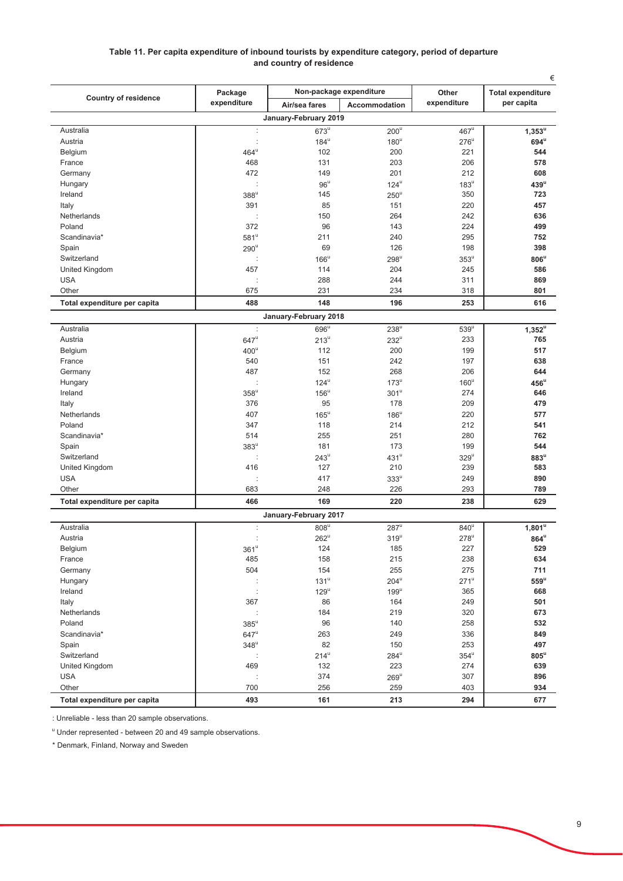#### Table 11. Per capita expenditure of inbound tourists by expenditure category, period of departure and country of residence

|                              | Package            |                       | Non-package expenditure | Other              | €<br><b>Total expenditure</b> |
|------------------------------|--------------------|-----------------------|-------------------------|--------------------|-------------------------------|
| <b>Country of residence</b>  | expenditure        | Air/sea fares         | <b>Accommodation</b>    | expenditure        | per capita                    |
|                              |                    | January-February 2019 |                         |                    |                               |
| Australia                    | ÷                  | $673^{\mathrm{u}}$    | $200^{\overline{u}}$    | $467^{\mathrm{u}}$ | $1,353^u$                     |
| Austria                      | $\cdot$            | $184^u$               | $180^u$                 | $276^u$            | $694^u$                       |
| Belgium                      | $464^{\mathrm{u}}$ | 102                   | 200                     | 221                | 544                           |
| France                       | 468                | 131                   | 203                     | 206                | 578                           |
| Germany                      | 472                | 149                   | 201                     | 212                | 608                           |
| Hungary                      |                    | $96^{\circ}$          | $124^u$                 | $183^{\mathrm{u}}$ | $439^u$                       |
| Ireland                      | $388^u$            | 145                   | $250^{\circ}$           | 350                | 723                           |
| Italy                        | 391                | 85                    | 151                     | 220                | 457                           |
| Netherlands                  | t                  | 150                   | 264                     | 242                | 636                           |
| Poland                       | 372                | 96                    | 143                     | 224                | 499                           |
| Scandinavia*                 | $581^{\circ}$      | 211                   | 240                     | 295                | 752                           |
| Spain                        | $290^u$            | 69                    | 126                     | 198                | 398                           |
| Switzerland                  |                    | $166^u$               | $298^u$                 | $353^{\mathrm{u}}$ | $806^u$                       |
| United Kingdom               | 457                | 114                   | 204                     | 245                | 586                           |
| <b>USA</b>                   |                    | 288                   | 244                     | 311                | 869                           |
| Other                        | 675                | 231                   | 234                     | 318                | 801                           |
| Total expenditure per capita | 488                | 148                   | 196                     | 253                | 616                           |
|                              |                    | January-February 2018 |                         |                    |                               |
| Australia                    | ÷                  | $696^u$               | $238^u$                 | $539^u$            | $1,352^u$                     |
| Austria                      | $647^{\rm u}$      | $213^u$               | $232^u$                 | 233                | 765                           |
| Belgium                      | $400^{\circ}$      | 112                   | 200                     | 199                | 517                           |
| France                       | 540                | 151                   | 242                     | 197                | 638                           |
| Germany                      | 487                | 152                   | 268                     | 206                | 644                           |
| Hungary                      |                    | $124^u$               | $173^u$                 | $160^u$            | $456^u$                       |
| Ireland                      | $358^u$            | $156^{\circ}$         | 301 <sup>u</sup>        | 274                | 646                           |
| Italy                        | 376                | 95                    | 178                     | 209                | 479                           |
| Netherlands                  | 407                | $165^{\mathrm{u}}$    | $186^u$                 | 220                | 577                           |
| Poland                       | 347                | 118                   | 214                     | 212                | 541                           |
| Scandinavia*                 | 514                | 255                   | 251                     | 280                | 762                           |
| Spain                        | $383^u$            | 181                   | 173                     | 199                | 544                           |
| Switzerland                  | ÷                  | $243^u$               | $431^u$                 | $329^u$            | $883^u$                       |
| United Kingdom               | 416                | 127                   | 210                     | 239                | 583                           |
| <b>USA</b>                   |                    | 417                   | $333^\mathrm{u}$        | 249                | 890                           |
| Other                        | 683                | 248                   | 226                     | 293                | 789                           |
| Total expenditure per capita | 466                | 169                   | 220                     | 238                | 629                           |
|                              |                    | January-February 2017 |                         |                    |                               |
| Australia                    | t                  | $808^u$               | $287^u$                 | $840^u$            | 1,801 <sup>u</sup>            |
| Austria                      |                    | $262^u$               | $319^u$                 | $278^u$            | $864^u$                       |
| Belgium                      | $361^{\rm u}$      | 124                   | 185                     | 227                | 529                           |
| France                       | 485                | 158                   | 215                     | 238                | 634                           |
| Germany                      | 504                | 154                   | 255                     | 275                | 711                           |
| Hungary                      | ÷                  | $131^u$               | $204^u$                 | $271^u$            | $559^u$                       |
| Ireland                      | ċ                  | $129^u$               | $199^u$                 | 365                | 668                           |
| Italy                        | 367                | 86                    | 164                     | 249                | 501                           |
| Netherlands                  |                    | 184                   | 219                     | 320                | 673                           |
| Poland                       | $385^u$            | 96                    | 140                     | 258                | 532                           |
| Scandinavia*                 | $647^u$            | 263                   | 249                     | 336                | 849                           |
| Spain                        | $348^u$            | 82                    | 150                     | 253                | 497                           |
| Switzerland                  |                    | $214^u$               | $284^u$                 | $354^{\mathrm{u}}$ | $805^u$                       |
| United Kingdom               | 469                | 132                   | 223                     | 274                | 639                           |
| <b>USA</b>                   |                    | 374                   | $269^u$                 | 307                | 896                           |
| Other                        | 700                | 256                   | 259                     | 403                | 934                           |
| Total expenditure per capita | 493                | 161                   | 213                     | 294                | 677                           |

: Unreliable - less than 20 sample observations.

" Under represented - between 20 and 49 sample observations.

\* Denmark, Finland, Norway and Sweden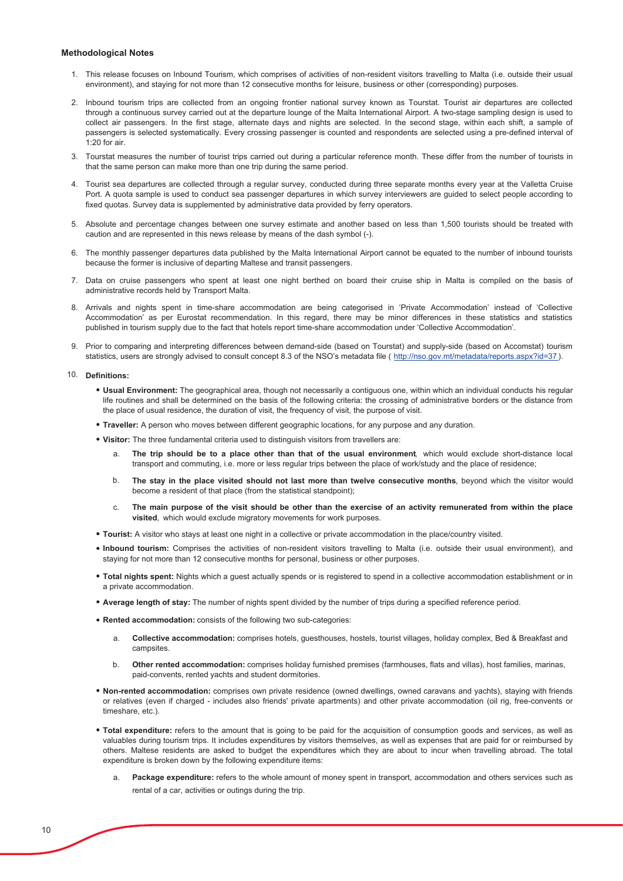#### **Methodological Notes**

- 1. This release focuses on Inbound Tourism, which comprises of activities of non-resident visitors travelling to Malta (i.e. outside their usual environment), and staying for not more than 12 consecutive months for leisure, business or other (corresponding) purposes.
- 2. Inbound tourism trips are collected from an ongoing frontier national survey known as Tourstat. Tourist air departures are collected through a continuous survey carried out at the departure lounge of the Malta International Airport. A two-stage sampling design is used to collect air passengers. In the first stage, alternate days and nights are selected. In the second stage, within each shift, a sample of passengers is selected systematically. Every crossing passenger is counted and respondents are selected using a pre-defined interval of  $1.20$  for air
- 3. Tourstat measures the number of tourist trips carried out during a particular reference month. These differ from the number of tourists in that the same person can make more than one trip during the same period.
- 4. Tourist sea departures are collected through a regular survey, conducted during three separate months every year at the Valletta Cruise Port. A quota sample is used to conduct sea passenger departures in which survey interviewers are guided to select people according to fixed quotas. Survey data is supplemented by administrative data provided by ferry operators.
- 5. Absolute and percentage changes between one survey estimate and another based on less than 1,500 tourists should be treated with caution and are represented in this news release by means of the dash symbol (-).
- 6. The monthly passenger departures data published by the Malta International Airport cannot be equated to the number of inbound tourists because the former is inclusive of departing Maltese and transit passengers
- 7. Data on cruise passengers who spent at least one night berthed on board their cruise ship in Malta is compiled on the basis of administrative records held by Transport Malta.
- 8. Arrivals and nights spent in time-share accommodation are being categorised in 'Private Accommodation' instead of 'Collective Accommodation' as per Eurostat recommendation. In this regard, there may be minor differences in these statistics and statistics published in tourism supply due to the fact that hotels report time-share accommodation under 'Collective Accommodation'.
- 9. Prior to comparing and interpreting differences between demand-side (based on Tourstat) and supply-side (based on Accomstat) tourism statistics, users are strongly advised to consult concept 8.3 of the NSO's metadata file (http://nso.gov.mt/metadata/reports.aspx?id=37).

#### 10. Definitions:

- . Usual Environment: The geographical area, though not necessarily a contiguous one, within which an individual conducts his regular life routines and shall be determined on the basis of the following criteria: the crossing of administrative borders or the distance from the place of usual residence, the duration of visit, the frequency of visit, the purpose of visit.
- . Traveller: A person who moves between different geographic locations, for any purpose and any duration.
- . Visitor: The three fundamental criteria used to distinguish visitors from travellers are:
	- The trip should be to a place other than that of the usual environment, which would exclude short-distance local a. transport and commuting, i.e. more or less regular trips between the place of work/study and the place of residence;
	- $b$ . The stay in the place visited should not last more than twelve consecutive months, beyond which the visitor would become a resident of that place (from the statistical standpoint);
	- The main purpose of the visit should be other than the exercise of an activity remunerated from within the place  $\mathsf{C}$ visited, which would exclude migratory movements for work purposes.
- Tourist: A visitor who stays at least one night in a collective or private accommodation in the place/country visited.
- . Inbound tourism: Comprises the activities of non-resident visitors travelling to Malta (i.e. outside their usual environment), and staying for not more than 12 consecutive months for personal, business or other purposes.
- . Total nights spent: Nights which a quest actually spends or is registered to spend in a collective accommodation establishment or in a private accommodation.
- . Average length of stay: The number of nights spent divided by the number of trips during a specified reference period.
- . Rented accommodation: consists of the following two sub-categories:
	- Collective accommodation: comprises hotels, questhouses, hostels, tourist villages, holiday complex, Bed & Breakfast and  $\mathbf{a}$ campsites.
	- <sub>b</sub> Other rented accommodation: comprises holiday furnished premises (farmhouses, flats and villas), host families, marinas, paid-convents, rented yachts and student dormitories.
- . Non-rented accommodation: comprises own private residence (owned dwellings, owned caravans and yachts), staying with friends or relatives (even if charged - includes also friends' private apartments) and other private accommodation (oil rig, free-convents or timeshare, etc.).
- . Total expenditure: refers to the amount that is going to be paid for the acquisition of consumption goods and services, as well as valuables during tourism trips. It includes expenditures by visitors themselves, as well as expenses that are paid for or reimbursed by others. Maltese residents are asked to budget the expenditures which they are about to incur when travelling abroad. The total expenditure is broken down by the following expenditure items:
	- Package expenditure: refers to the whole amount of money spent in transport, accommodation and others services such as rental of a car, activities or outings during the trip.